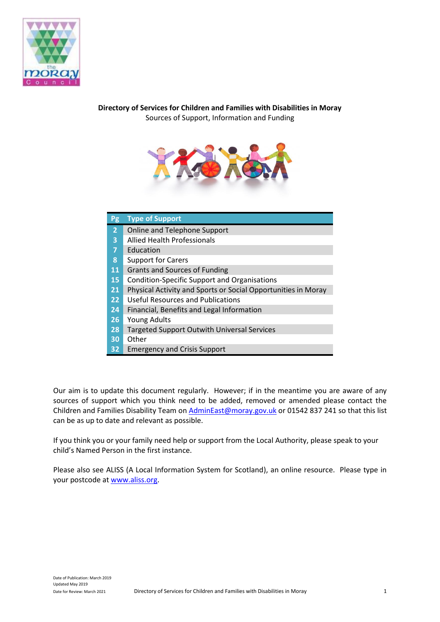

## **Directory of Services for Children and Families with Disabilities in Moray** Sources of Support, Information and Funding



| <b>Pg</b>      | <b>Type of Support</b>                                        |
|----------------|---------------------------------------------------------------|
| $\overline{2}$ | Online and Telephone Support                                  |
| 3              | <b>Allied Health Professionals</b>                            |
| 7              | Education                                                     |
| 8              | <b>Support for Carers</b>                                     |
| 11             | <b>Grants and Sources of Funding</b>                          |
| 15             | <b>Condition-Specific Support and Organisations</b>           |
| 21             | Physical Activity and Sports or Social Opportunities in Moray |
| 22             | <b>Useful Resources and Publications</b>                      |
| 24             | Financial, Benefits and Legal Information                     |
| 26             | <b>Young Adults</b>                                           |
| 28             | <b>Targeted Support Outwith Universal Services</b>            |
| 30             | Other                                                         |
| 32             | <b>Emergency and Crisis Support</b>                           |

Our aim is to update this document regularly. However; if in the meantime you are aware of any sources of support which you think need to be added, removed or amended please contact the Children and Families Disability Team o[n AdminEast@moray.gov.uk](mailto:AdminEast@moray.gov.uk) or 01542 837 241 so that this list can be as up to date and relevant as possible.

If you think you or your family need help or support from the Local Authority, please speak to your child's Named Person in the first instance.

Please also see ALISS (A Local Information System for Scotland), an online resource. Please type in your postcode at [www.aliss.org.](http://www.aliss.org/)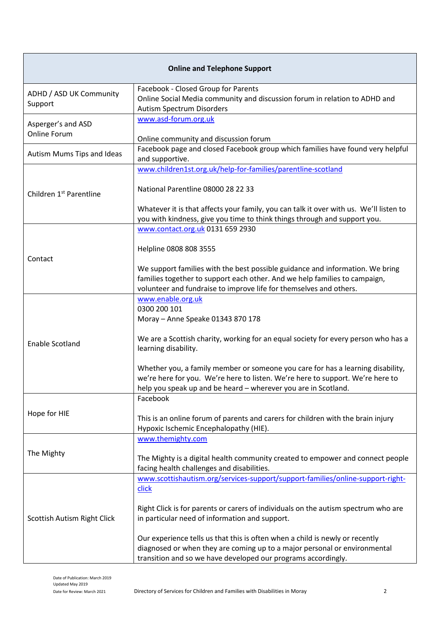| <b>Online and Telephone Support</b> |                                                                                                                                                                                                                                     |
|-------------------------------------|-------------------------------------------------------------------------------------------------------------------------------------------------------------------------------------------------------------------------------------|
| ADHD / ASD UK Community<br>Support  | Facebook - Closed Group for Parents<br>Online Social Media community and discussion forum in relation to ADHD and<br>Autism Spectrum Disorders                                                                                      |
| Asperger's and ASD<br>Online Forum  | www.asd-forum.org.uk<br>Online community and discussion forum                                                                                                                                                                       |
| Autism Mums Tips and Ideas          | Facebook page and closed Facebook group which families have found very helpful<br>and supportive.                                                                                                                                   |
|                                     | www.children1st.org.uk/help-for-families/parentline-scotland<br>National Parentline 08000 28 22 33                                                                                                                                  |
| Children 1 <sup>st</sup> Parentline | Whatever it is that affects your family, you can talk it over with us. We'll listen to<br>you with kindness, give you time to think things through and support you.                                                                 |
|                                     | www.contact.org.uk 0131 659 2930<br>Helpline 0808 808 3555                                                                                                                                                                          |
| Contact                             | We support families with the best possible guidance and information. We bring<br>families together to support each other. And we help families to campaign,<br>volunteer and fundraise to improve life for themselves and others.   |
|                                     | www.enable.org.uk<br>0300 200 101<br>Moray - Anne Speake 01343 870 178                                                                                                                                                              |
| <b>Enable Scotland</b>              | We are a Scottish charity, working for an equal society for every person who has a<br>learning disability.                                                                                                                          |
|                                     | Whether you, a family member or someone you care for has a learning disability,<br>we're here for you. We're here to listen. We're here to support. We're here to<br>help you speak up and be heard - wherever you are in Scotland. |
|                                     | Facebook                                                                                                                                                                                                                            |
| Hope for HIE                        | This is an online forum of parents and carers for children with the brain injury<br>Hypoxic Ischemic Encephalopathy (HIE).                                                                                                          |
| The Mighty                          | www.themighty.com<br>The Mighty is a digital health community created to empower and connect people<br>facing health challenges and disabilities.                                                                                   |
|                                     | www.scottishautism.org/services-support/support-families/online-support-right-<br>click                                                                                                                                             |
| Scottish Autism Right Click         | Right Click is for parents or carers of individuals on the autism spectrum who are<br>in particular need of information and support.                                                                                                |
|                                     | Our experience tells us that this is often when a child is newly or recently<br>diagnosed or when they are coming up to a major personal or environmental<br>transition and so we have developed our programs accordingly.          |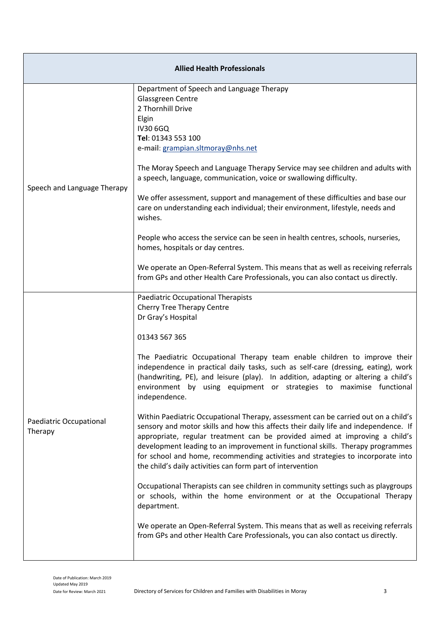| <b>Allied Health Professionals</b> |                                                                                                                                                                                                                                                                                                                                                                                                                                                                                             |  |
|------------------------------------|---------------------------------------------------------------------------------------------------------------------------------------------------------------------------------------------------------------------------------------------------------------------------------------------------------------------------------------------------------------------------------------------------------------------------------------------------------------------------------------------|--|
|                                    | Department of Speech and Language Therapy<br>Glassgreen Centre<br>2 Thornhill Drive<br>Elgin<br><b>IV30 6GQ</b><br>Tel: 01343 553 100<br>e-mail: grampian.sltmoray@nhs.net                                                                                                                                                                                                                                                                                                                  |  |
| Speech and Language Therapy        | The Moray Speech and Language Therapy Service may see children and adults with<br>a speech, language, communication, voice or swallowing difficulty.                                                                                                                                                                                                                                                                                                                                        |  |
|                                    | We offer assessment, support and management of these difficulties and base our<br>care on understanding each individual; their environment, lifestyle, needs and<br>wishes.                                                                                                                                                                                                                                                                                                                 |  |
|                                    | People who access the service can be seen in health centres, schools, nurseries,<br>homes, hospitals or day centres.                                                                                                                                                                                                                                                                                                                                                                        |  |
|                                    | We operate an Open-Referral System. This means that as well as receiving referrals<br>from GPs and other Health Care Professionals, you can also contact us directly.                                                                                                                                                                                                                                                                                                                       |  |
|                                    | <b>Paediatric Occupational Therapists</b><br><b>Cherry Tree Therapy Centre</b><br>Dr Gray's Hospital                                                                                                                                                                                                                                                                                                                                                                                        |  |
|                                    | 01343 567 365                                                                                                                                                                                                                                                                                                                                                                                                                                                                               |  |
|                                    | The Paediatric Occupational Therapy team enable children to improve their<br>independence in practical daily tasks, such as self-care (dressing, eating), work<br>(handwriting, PE), and leisure (play). In addition, adapting or altering a child's<br>environment by using equipment or strategies to maximise functional<br>independence.                                                                                                                                                |  |
| Paediatric Occupational<br>Therapy | Within Paediatric Occupational Therapy, assessment can be carried out on a child's<br>sensory and motor skills and how this affects their daily life and independence. If<br>appropriate, regular treatment can be provided aimed at improving a child's<br>development leading to an improvement in functional skills. Therapy programmes<br>for school and home, recommending activities and strategies to incorporate into<br>the child's daily activities can form part of intervention |  |
|                                    | Occupational Therapists can see children in community settings such as playgroups<br>or schools, within the home environment or at the Occupational Therapy<br>department.                                                                                                                                                                                                                                                                                                                  |  |
|                                    | We operate an Open-Referral System. This means that as well as receiving referrals<br>from GPs and other Health Care Professionals, you can also contact us directly.                                                                                                                                                                                                                                                                                                                       |  |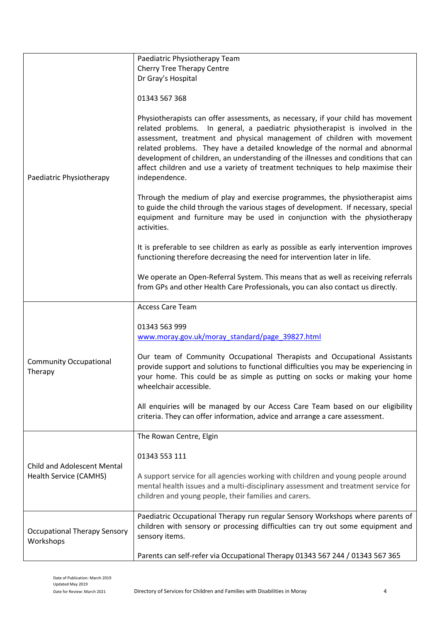|                                                              | Paediatric Physiotherapy Team                                                                                                                                                                                                                                                                                                                                                                                                                                                                                          |
|--------------------------------------------------------------|------------------------------------------------------------------------------------------------------------------------------------------------------------------------------------------------------------------------------------------------------------------------------------------------------------------------------------------------------------------------------------------------------------------------------------------------------------------------------------------------------------------------|
|                                                              | <b>Cherry Tree Therapy Centre</b>                                                                                                                                                                                                                                                                                                                                                                                                                                                                                      |
|                                                              | Dr Gray's Hospital                                                                                                                                                                                                                                                                                                                                                                                                                                                                                                     |
|                                                              |                                                                                                                                                                                                                                                                                                                                                                                                                                                                                                                        |
|                                                              | 01343 567 368                                                                                                                                                                                                                                                                                                                                                                                                                                                                                                          |
| Paediatric Physiotherapy                                     | Physiotherapists can offer assessments, as necessary, if your child has movement<br>related problems. In general, a paediatric physiotherapist is involved in the<br>assessment, treatment and physical management of children with movement<br>related problems. They have a detailed knowledge of the normal and abnormal<br>development of children, an understanding of the illnesses and conditions that can<br>affect children and use a variety of treatment techniques to help maximise their<br>independence. |
|                                                              | Through the medium of play and exercise programmes, the physiotherapist aims<br>to guide the child through the various stages of development. If necessary, special<br>equipment and furniture may be used in conjunction with the physiotherapy<br>activities.                                                                                                                                                                                                                                                        |
|                                                              | It is preferable to see children as early as possible as early intervention improves<br>functioning therefore decreasing the need for intervention later in life.                                                                                                                                                                                                                                                                                                                                                      |
|                                                              | We operate an Open-Referral System. This means that as well as receiving referrals<br>from GPs and other Health Care Professionals, you can also contact us directly.                                                                                                                                                                                                                                                                                                                                                  |
|                                                              | <b>Access Care Team</b>                                                                                                                                                                                                                                                                                                                                                                                                                                                                                                |
|                                                              | 01343 563 999<br>www.moray.gov.uk/moray_standard/page_39827.html                                                                                                                                                                                                                                                                                                                                                                                                                                                       |
| <b>Community Occupational</b><br>Therapy                     | Our team of Community Occupational Therapists and Occupational Assistants<br>provide support and solutions to functional difficulties you may be experiencing in<br>your home. This could be as simple as putting on socks or making your home<br>wheelchair accessible.                                                                                                                                                                                                                                               |
|                                                              | All enquiries will be managed by our Access Care Team based on our eligibility<br>criteria. They can offer information, advice and arrange a care assessment.                                                                                                                                                                                                                                                                                                                                                          |
|                                                              | The Rowan Centre, Elgin                                                                                                                                                                                                                                                                                                                                                                                                                                                                                                |
|                                                              | 01343 553 111                                                                                                                                                                                                                                                                                                                                                                                                                                                                                                          |
| <b>Child and Adolescent Mental</b><br>Health Service (CAMHS) | A support service for all agencies working with children and young people around<br>mental health issues and a multi-disciplinary assessment and treatment service for<br>children and young people, their families and carers.                                                                                                                                                                                                                                                                                        |
| <b>Occupational Therapy Sensory</b><br>Workshops             | Paediatric Occupational Therapy run regular Sensory Workshops where parents of<br>children with sensory or processing difficulties can try out some equipment and<br>sensory items.                                                                                                                                                                                                                                                                                                                                    |
|                                                              | Parents can self-refer via Occupational Therapy 01343 567 244 / 01343 567 365                                                                                                                                                                                                                                                                                                                                                                                                                                          |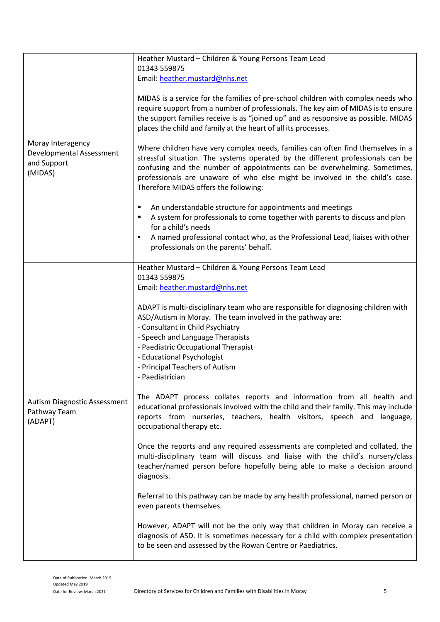| Moray Interagency<br>Developmental Assessment<br>and Support<br>(MIDAS) | Heather Mustard - Children & Young Persons Team Lead<br>01343 559875<br>Email: heather.mustard@nhs.net<br>MIDAS is a service for the families of pre-school children with complex needs who<br>require support from a number of professionals. The key aim of MIDAS is to ensure<br>the support families receive is as "joined up" and as responsive as possible. MIDAS<br>places the child and family at the heart of all its processes.<br>Where children have very complex needs, families can often find themselves in a<br>stressful situation. The systems operated by the different professionals can be<br>confusing and the number of appointments can be overwhelming. Sometimes,<br>professionals are unaware of who else might be involved in the child's case.<br>Therefore MIDAS offers the following:<br>An understandable structure for appointments and meetings<br>٠<br>A system for professionals to come together with parents to discuss and plan<br>٠<br>for a child's needs |
|-------------------------------------------------------------------------|----------------------------------------------------------------------------------------------------------------------------------------------------------------------------------------------------------------------------------------------------------------------------------------------------------------------------------------------------------------------------------------------------------------------------------------------------------------------------------------------------------------------------------------------------------------------------------------------------------------------------------------------------------------------------------------------------------------------------------------------------------------------------------------------------------------------------------------------------------------------------------------------------------------------------------------------------------------------------------------------------|
|                                                                         | A named professional contact who, as the Professional Lead, liaises with other<br>professionals on the parents' behalf.                                                                                                                                                                                                                                                                                                                                                                                                                                                                                                                                                                                                                                                                                                                                                                                                                                                                            |
|                                                                         | Heather Mustard - Children & Young Persons Team Lead<br>01343 559875<br>Email: heather.mustard@nhs.net<br>ADAPT is multi-disciplinary team who are responsible for diagnosing children with<br>ASD/Autism in Moray. The team involved in the pathway are:<br>- Consultant in Child Psychiatry<br>- Speech and Language Therapists<br>- Paediatric Occupational Therapist<br>- Educational Psychologist<br>- Principal Teachers of Autism<br>- Paediatrician                                                                                                                                                                                                                                                                                                                                                                                                                                                                                                                                        |
| Autism Diagnostic Assessment<br>Pathway Team<br>(ADAPT)                 | The ADAPT process collates reports and information from all health and<br>educational professionals involved with the child and their family. This may include<br>reports from nurseries, teachers, health visitors, speech and language,<br>occupational therapy etc.                                                                                                                                                                                                                                                                                                                                                                                                                                                                                                                                                                                                                                                                                                                             |
|                                                                         | Once the reports and any required assessments are completed and collated, the<br>multi-disciplinary team will discuss and liaise with the child's nursery/class<br>teacher/named person before hopefully being able to make a decision around<br>diagnosis.                                                                                                                                                                                                                                                                                                                                                                                                                                                                                                                                                                                                                                                                                                                                        |
|                                                                         | Referral to this pathway can be made by any health professional, named person or<br>even parents themselves.                                                                                                                                                                                                                                                                                                                                                                                                                                                                                                                                                                                                                                                                                                                                                                                                                                                                                       |
|                                                                         | However, ADAPT will not be the only way that children in Moray can receive a<br>diagnosis of ASD. It is sometimes necessary for a child with complex presentation<br>to be seen and assessed by the Rowan Centre or Paediatrics.                                                                                                                                                                                                                                                                                                                                                                                                                                                                                                                                                                                                                                                                                                                                                                   |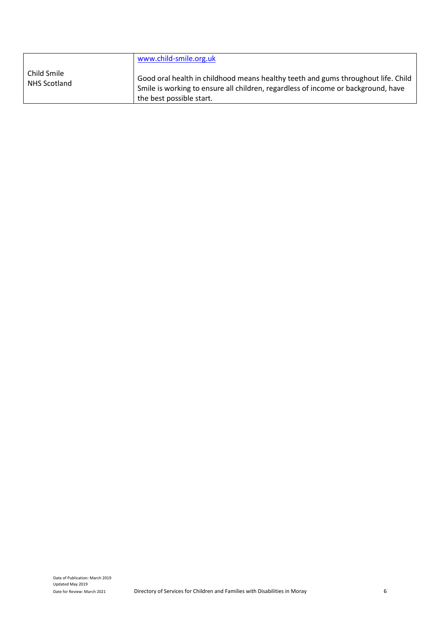|                             | www.child-smile.org.uk                                                                                                                                                                             |
|-----------------------------|----------------------------------------------------------------------------------------------------------------------------------------------------------------------------------------------------|
| Child Smile<br>NHS Scotland | Good oral health in childhood means healthy teeth and gums throughout life. Child<br>Smile is working to ensure all children, regardless of income or background, have<br>the best possible start. |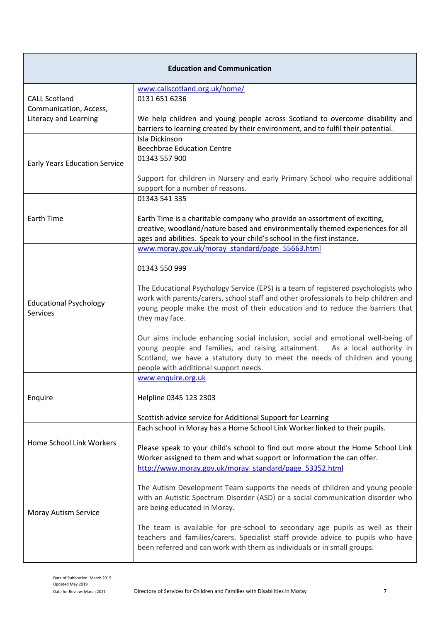| <b>Education and Communication</b>   |                                                                                     |  |
|--------------------------------------|-------------------------------------------------------------------------------------|--|
|                                      | www.callscotland.org.uk/home/                                                       |  |
| <b>CALL Scotland</b>                 | 0131 651 6236                                                                       |  |
| Communication, Access,               |                                                                                     |  |
| Literacy and Learning                | We help children and young people across Scotland to overcome disability and        |  |
|                                      | barriers to learning created by their environment, and to fulfil their potential.   |  |
|                                      | Isla Dickinson                                                                      |  |
|                                      | <b>Beechbrae Education Centre</b>                                                   |  |
| <b>Early Years Education Service</b> | 01343 557 900                                                                       |  |
|                                      |                                                                                     |  |
|                                      | Support for children in Nursery and early Primary School who require additional     |  |
|                                      | support for a number of reasons.                                                    |  |
|                                      | 01343 541 335                                                                       |  |
|                                      |                                                                                     |  |
| <b>Earth Time</b>                    | Earth Time is a charitable company who provide an assortment of exciting,           |  |
|                                      | creative, woodland/nature based and environmentally themed experiences for all      |  |
|                                      | ages and abilities. Speak to your child's school in the first instance.             |  |
|                                      | www.moray.gov.uk/moray_standard/page_55663.html                                     |  |
|                                      |                                                                                     |  |
|                                      | 01343 550 999                                                                       |  |
|                                      | The Educational Psychology Service (EPS) is a team of registered psychologists who  |  |
|                                      | work with parents/carers, school staff and other professionals to help children and |  |
| <b>Educational Psychology</b>        | young people make the most of their education and to reduce the barriers that       |  |
| Services                             | they may face.                                                                      |  |
|                                      |                                                                                     |  |
|                                      | Our aims include enhancing social inclusion, social and emotional well-being of     |  |
|                                      | young people and families, and raising attainment.  As a local authority in         |  |
|                                      | Scotland, we have a statutory duty to meet the needs of children and young          |  |
|                                      | people with additional support needs.                                               |  |
|                                      | www.enquire.org.uk                                                                  |  |
|                                      |                                                                                     |  |
| Enquire                              | Helpline 0345 123 2303                                                              |  |
|                                      |                                                                                     |  |
|                                      | Scottish advice service for Additional Support for Learning                         |  |
|                                      | Each school in Moray has a Home School Link Worker linked to their pupils.          |  |
| Home School Link Workers             |                                                                                     |  |
|                                      | Please speak to your child's school to find out more about the Home School Link     |  |
|                                      | Worker assigned to them and what support or information the can offer.              |  |
|                                      | http://www.moray.gov.uk/moray_standard/page_53352.html                              |  |
|                                      | The Autism Development Team supports the needs of children and young people         |  |
|                                      | with an Autistic Spectrum Disorder (ASD) or a social communication disorder who     |  |
|                                      | are being educated in Moray.                                                        |  |
| Moray Autism Service                 |                                                                                     |  |
|                                      | The team is available for pre-school to secondary age pupils as well as their       |  |
|                                      | teachers and families/carers. Specialist staff provide advice to pupils who have    |  |
|                                      | been referred and can work with them as individuals or in small groups.             |  |
|                                      |                                                                                     |  |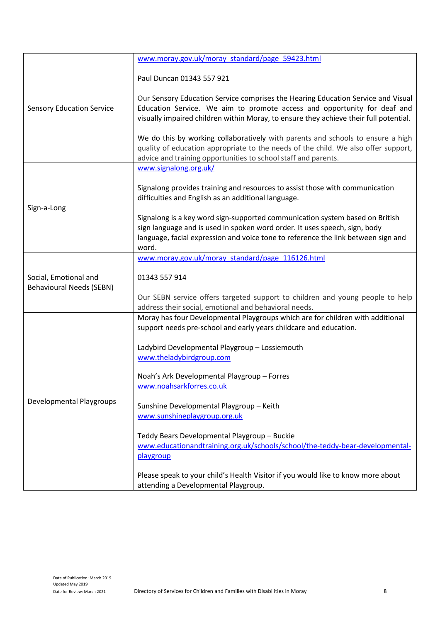|                                                          | www.moray.gov.uk/moray_standard/page_59423.html                                                                                                                                                                                                          |
|----------------------------------------------------------|----------------------------------------------------------------------------------------------------------------------------------------------------------------------------------------------------------------------------------------------------------|
|                                                          | Paul Duncan 01343 557 921                                                                                                                                                                                                                                |
| <b>Sensory Education Service</b>                         | Our Sensory Education Service comprises the Hearing Education Service and Visual<br>Education Service. We aim to promote access and opportunity for deaf and<br>visually impaired children within Moray, to ensure they achieve their full potential.    |
|                                                          | We do this by working collaboratively with parents and schools to ensure a high<br>quality of education appropriate to the needs of the child. We also offer support,<br>advice and training opportunities to school staff and parents.                  |
|                                                          | www.signalong.org.uk/                                                                                                                                                                                                                                    |
|                                                          | Signalong provides training and resources to assist those with communication<br>difficulties and English as an additional language.                                                                                                                      |
| Sign-a-Long                                              | Signalong is a key word sign-supported communication system based on British<br>sign language and is used in spoken word order. It uses speech, sign, body<br>language, facial expression and voice tone to reference the link between sign and<br>word. |
|                                                          | www.moray.gov.uk/moray standard/page 116126.html                                                                                                                                                                                                         |
| Social, Emotional and<br><b>Behavioural Needs (SEBN)</b> | 01343 557 914                                                                                                                                                                                                                                            |
|                                                          | Our SEBN service offers targeted support to children and young people to help<br>address their social, emotional and behavioral needs.                                                                                                                   |
|                                                          | Moray has four Developmental Playgroups which are for children with additional<br>support needs pre-school and early years childcare and education.                                                                                                      |
|                                                          | Ladybird Developmental Playgroup - Lossiemouth<br>www.theladybirdgroup.com                                                                                                                                                                               |
|                                                          | Noah's Ark Developmental Playgroup - Forres<br>www.noahsarkforres.co.uk                                                                                                                                                                                  |
| Developmental Playgroups                                 | Sunshine Developmental Playgroup - Keith<br>www.sunshineplaygroup.org.uk                                                                                                                                                                                 |
|                                                          | Teddy Bears Developmental Playgroup - Buckie<br>www.educationandtraining.org.uk/schools/school/the-teddy-bear-developmental-<br>playgroup                                                                                                                |
|                                                          | Please speak to your child's Health Visitor if you would like to know more about<br>attending a Developmental Playgroup.                                                                                                                                 |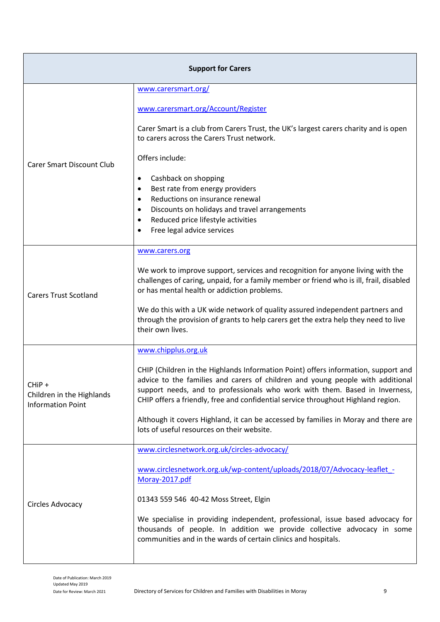| <b>Support for Carers</b>                                       |                                                                                                                                                                                                                                                                                                                                          |  |
|-----------------------------------------------------------------|------------------------------------------------------------------------------------------------------------------------------------------------------------------------------------------------------------------------------------------------------------------------------------------------------------------------------------------|--|
|                                                                 | www.carersmart.org/                                                                                                                                                                                                                                                                                                                      |  |
|                                                                 | www.carersmart.org/Account/Register                                                                                                                                                                                                                                                                                                      |  |
|                                                                 | Carer Smart is a club from Carers Trust, the UK's largest carers charity and is open<br>to carers across the Carers Trust network.                                                                                                                                                                                                       |  |
| <b>Carer Smart Discount Club</b>                                | Offers include:                                                                                                                                                                                                                                                                                                                          |  |
|                                                                 | Cashback on shopping<br>$\bullet$<br>Best rate from energy providers<br>$\bullet$                                                                                                                                                                                                                                                        |  |
|                                                                 | Reductions on insurance renewal<br>$\bullet$<br>Discounts on holidays and travel arrangements<br>$\bullet$                                                                                                                                                                                                                               |  |
|                                                                 | Reduced price lifestyle activities<br>$\bullet$                                                                                                                                                                                                                                                                                          |  |
|                                                                 | Free legal advice services<br>$\bullet$                                                                                                                                                                                                                                                                                                  |  |
|                                                                 | www.carers.org                                                                                                                                                                                                                                                                                                                           |  |
| <b>Carers Trust Scotland</b>                                    | We work to improve support, services and recognition for anyone living with the<br>challenges of caring, unpaid, for a family member or friend who is ill, frail, disabled<br>or has mental health or addiction problems.                                                                                                                |  |
|                                                                 | We do this with a UK wide network of quality assured independent partners and<br>through the provision of grants to help carers get the extra help they need to live<br>their own lives.                                                                                                                                                 |  |
|                                                                 | www.chipplus.org.uk                                                                                                                                                                                                                                                                                                                      |  |
| CHiP +<br>Children in the Highlands<br><b>Information Point</b> | CHIP (Children in the Highlands Information Point) offers information, support and<br>advice to the families and carers of children and young people with additional<br>support needs, and to professionals who work with them. Based in Inverness,<br>CHIP offers a friendly, free and confidential service throughout Highland region. |  |
|                                                                 | Although it covers Highland, it can be accessed by families in Moray and there are<br>lots of useful resources on their website.                                                                                                                                                                                                         |  |
|                                                                 | www.circlesnetwork.org.uk/circles-advocacy/                                                                                                                                                                                                                                                                                              |  |
|                                                                 | www.circlesnetwork.org.uk/wp-content/uploads/2018/07/Advocacy-leaflet -<br>Moray-2017.pdf                                                                                                                                                                                                                                                |  |
| Circles Advocacy                                                | 01343 559 546 40-42 Moss Street, Elgin                                                                                                                                                                                                                                                                                                   |  |
|                                                                 | We specialise in providing independent, professional, issue based advocacy for<br>thousands of people. In addition we provide collective advocacy in some<br>communities and in the wards of certain clinics and hospitals.                                                                                                              |  |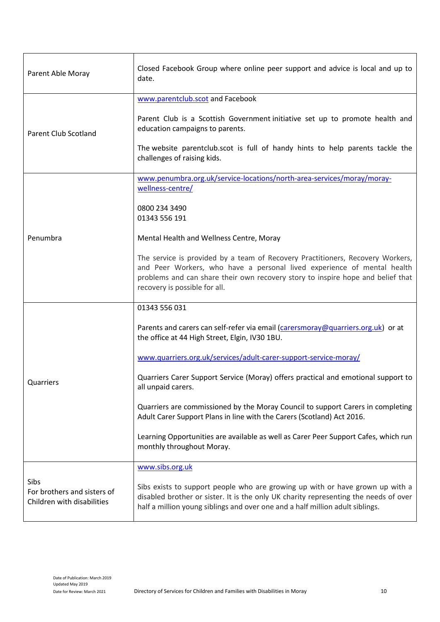| Parent Able Moray                                                 | Closed Facebook Group where online peer support and advice is local and up to<br>date.                                                                                                                                                                                        |
|-------------------------------------------------------------------|-------------------------------------------------------------------------------------------------------------------------------------------------------------------------------------------------------------------------------------------------------------------------------|
|                                                                   | www.parentclub.scot and Facebook                                                                                                                                                                                                                                              |
| Parent Club Scotland                                              | Parent Club is a Scottish Government initiative set up to promote health and<br>education campaigns to parents.                                                                                                                                                               |
|                                                                   | The website parentclub.scot is full of handy hints to help parents tackle the<br>challenges of raising kids.                                                                                                                                                                  |
|                                                                   | www.penumbra.org.uk/service-locations/north-area-services/moray/moray-                                                                                                                                                                                                        |
|                                                                   | wellness-centre/                                                                                                                                                                                                                                                              |
|                                                                   | 0800 234 3490<br>01343 556 191                                                                                                                                                                                                                                                |
| Penumbra                                                          | Mental Health and Wellness Centre, Moray                                                                                                                                                                                                                                      |
|                                                                   | The service is provided by a team of Recovery Practitioners, Recovery Workers,<br>and Peer Workers, who have a personal lived experience of mental health<br>problems and can share their own recovery story to inspire hope and belief that<br>recovery is possible for all. |
|                                                                   | 01343 556 031                                                                                                                                                                                                                                                                 |
|                                                                   | Parents and carers can self-refer via email (carersmoray@quarriers.org.uk) or at<br>the office at 44 High Street, Elgin, IV30 1BU.                                                                                                                                            |
|                                                                   | www.quarriers.org.uk/services/adult-carer-support-service-moray/                                                                                                                                                                                                              |
| Quarriers                                                         | Quarriers Carer Support Service (Moray) offers practical and emotional support to<br>all unpaid carers.                                                                                                                                                                       |
|                                                                   | Quarriers are commissioned by the Moray Council to support Carers in completing<br>Adult Carer Support Plans in line with the Carers (Scotland) Act 2016.                                                                                                                     |
|                                                                   | Learning Opportunities are available as well as Carer Peer Support Cafes, which run<br>monthly throughout Moray.                                                                                                                                                              |
|                                                                   | www.sibs.org.uk                                                                                                                                                                                                                                                               |
| Sibs<br>For brothers and sisters of<br>Children with disabilities | Sibs exists to support people who are growing up with or have grown up with a<br>disabled brother or sister. It is the only UK charity representing the needs of over<br>half a million young siblings and over one and a half million adult siblings.                        |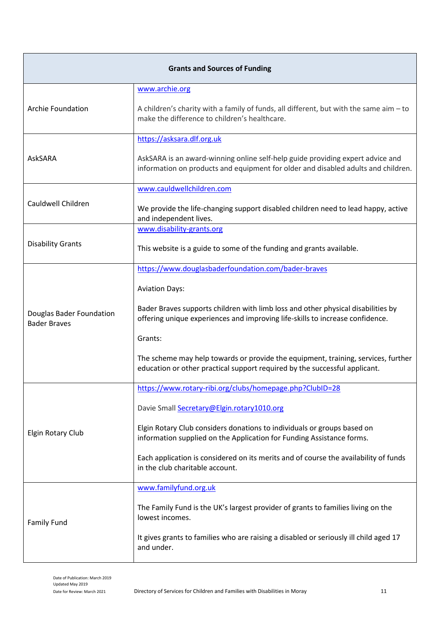| <b>Grants and Sources of Funding</b>            |                                                                                                                                                                     |  |
|-------------------------------------------------|---------------------------------------------------------------------------------------------------------------------------------------------------------------------|--|
|                                                 | www.archie.org                                                                                                                                                      |  |
| <b>Archie Foundation</b>                        | A children's charity with a family of funds, all different, but with the same aim $-$ to<br>make the difference to children's healthcare.                           |  |
|                                                 | https://asksara.dlf.org.uk                                                                                                                                          |  |
| <b>AskSARA</b>                                  | AskSARA is an award-winning online self-help guide providing expert advice and<br>information on products and equipment for older and disabled adults and children. |  |
|                                                 | www.cauldwellchildren.com                                                                                                                                           |  |
| Cauldwell Children                              | We provide the life-changing support disabled children need to lead happy, active<br>and independent lives.                                                         |  |
|                                                 | www.disability-grants.org                                                                                                                                           |  |
| <b>Disability Grants</b>                        | This website is a guide to some of the funding and grants available.                                                                                                |  |
|                                                 | https://www.douglasbaderfoundation.com/bader-braves                                                                                                                 |  |
|                                                 | <b>Aviation Days:</b>                                                                                                                                               |  |
| Douglas Bader Foundation<br><b>Bader Braves</b> | Bader Braves supports children with limb loss and other physical disabilities by<br>offering unique experiences and improving life-skills to increase confidence.   |  |
|                                                 | Grants:                                                                                                                                                             |  |
|                                                 | The scheme may help towards or provide the equipment, training, services, further<br>education or other practical support required by the successful applicant.     |  |
|                                                 | https://www.rotary-ribi.org/clubs/homepage.php?ClubID=28                                                                                                            |  |
|                                                 | Davie Small Secretary@Elgin.rotary1010.org                                                                                                                          |  |
| Elgin Rotary Club                               | Elgin Rotary Club considers donations to individuals or groups based on<br>information supplied on the Application for Funding Assistance forms.                    |  |
|                                                 | Each application is considered on its merits and of course the availability of funds<br>in the club charitable account.                                             |  |
|                                                 | www.familyfund.org.uk                                                                                                                                               |  |
| <b>Family Fund</b>                              | The Family Fund is the UK's largest provider of grants to families living on the<br>lowest incomes.                                                                 |  |
|                                                 | It gives grants to families who are raising a disabled or seriously ill child aged 17<br>and under.                                                                 |  |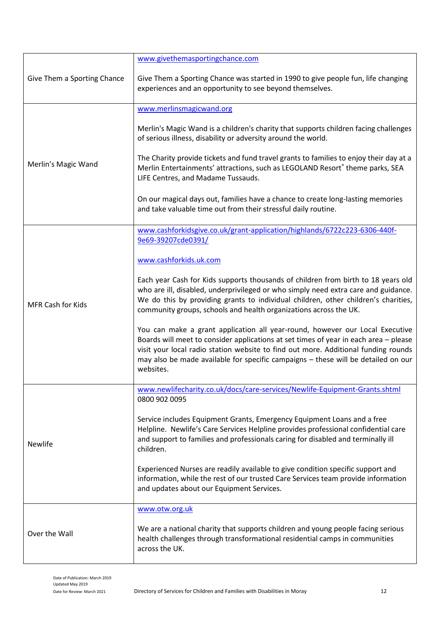|                             | www.givethemasportingchance.com                                                                                                                                                                                                                                                                                                                              |
|-----------------------------|--------------------------------------------------------------------------------------------------------------------------------------------------------------------------------------------------------------------------------------------------------------------------------------------------------------------------------------------------------------|
| Give Them a Sporting Chance | Give Them a Sporting Chance was started in 1990 to give people fun, life changing<br>experiences and an opportunity to see beyond themselves.                                                                                                                                                                                                                |
|                             | www.merlinsmagicwand.org                                                                                                                                                                                                                                                                                                                                     |
|                             | Merlin's Magic Wand is a children's charity that supports children facing challenges<br>of serious illness, disability or adversity around the world.                                                                                                                                                                                                        |
| Merlin's Magic Wand         | The Charity provide tickets and fund travel grants to families to enjoy their day at a<br>Merlin Entertainments' attractions, such as LEGOLAND Resort® theme parks, SEA<br>LIFE Centres, and Madame Tussauds.                                                                                                                                                |
|                             | On our magical days out, families have a chance to create long-lasting memories<br>and take valuable time out from their stressful daily routine.                                                                                                                                                                                                            |
|                             | www.cashforkidsgive.co.uk/grant-application/highlands/6722c223-6306-440f-                                                                                                                                                                                                                                                                                    |
|                             | 9e69-39207cde0391/                                                                                                                                                                                                                                                                                                                                           |
|                             | www.cashforkids.uk.com                                                                                                                                                                                                                                                                                                                                       |
| <b>MFR Cash for Kids</b>    | Each year Cash for Kids supports thousands of children from birth to 18 years old<br>who are ill, disabled, underprivileged or who simply need extra care and guidance.<br>We do this by providing grants to individual children, other children's charities,<br>community groups, schools and health organizations across the UK.                           |
|                             | You can make a grant application all year-round, however our Local Executive<br>Boards will meet to consider applications at set times of year in each area - please<br>visit your local radio station website to find out more. Additional funding rounds<br>may also be made available for specific campaigns - these will be detailed on our<br>websites. |
|                             | www.newlifecharity.co.uk/docs/care-services/Newlife-Equipment-Grants.shtml<br>0800 902 0095                                                                                                                                                                                                                                                                  |
| <b>Newlife</b>              | Service includes Equipment Grants, Emergency Equipment Loans and a free<br>Helpline. Newlife's Care Services Helpline provides professional confidential care<br>and support to families and professionals caring for disabled and terminally ill<br>children.                                                                                               |
|                             | Experienced Nurses are readily available to give condition specific support and<br>information, while the rest of our trusted Care Services team provide information<br>and updates about our Equipment Services.                                                                                                                                            |
|                             | www.otw.org.uk                                                                                                                                                                                                                                                                                                                                               |
| Over the Wall               | We are a national charity that supports children and young people facing serious<br>health challenges through transformational residential camps in communities<br>across the UK.                                                                                                                                                                            |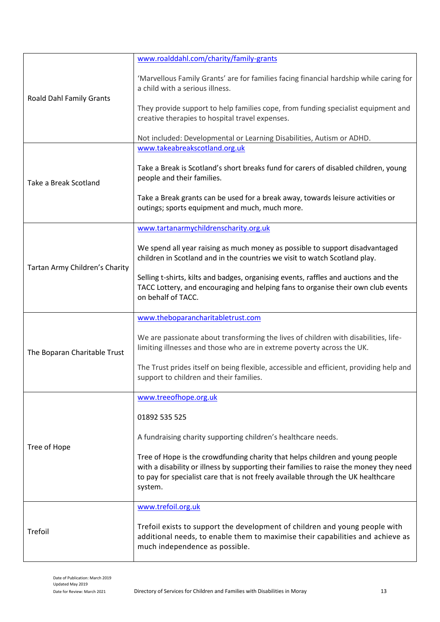|                                 | www.roalddahl.com/charity/family-grants                                                                                                                                                                                                                                 |
|---------------------------------|-------------------------------------------------------------------------------------------------------------------------------------------------------------------------------------------------------------------------------------------------------------------------|
| <b>Roald Dahl Family Grants</b> | 'Marvellous Family Grants' are for families facing financial hardship while caring for<br>a child with a serious illness.                                                                                                                                               |
|                                 | They provide support to help families cope, from funding specialist equipment and<br>creative therapies to hospital travel expenses.                                                                                                                                    |
|                                 | Not included: Developmental or Learning Disabilities, Autism or ADHD.                                                                                                                                                                                                   |
|                                 | www.takeabreakscotland.org.uk                                                                                                                                                                                                                                           |
| Take a Break Scotland           | Take a Break is Scotland's short breaks fund for carers of disabled children, young<br>people and their families.                                                                                                                                                       |
|                                 | Take a Break grants can be used for a break away, towards leisure activities or<br>outings; sports equipment and much, much more.                                                                                                                                       |
|                                 | www.tartanarmychildrenscharity.org.uk                                                                                                                                                                                                                                   |
|                                 | We spend all year raising as much money as possible to support disadvantaged<br>children in Scotland and in the countries we visit to watch Scotland play.                                                                                                              |
| Tartan Army Children's Charity  | Selling t-shirts, kilts and badges, organising events, raffles and auctions and the<br>TACC Lottery, and encouraging and helping fans to organise their own club events<br>on behalf of TACC.                                                                           |
|                                 | www.theboparancharitabletrust.com                                                                                                                                                                                                                                       |
| The Boparan Charitable Trust    | We are passionate about transforming the lives of children with disabilities, life-<br>limiting illnesses and those who are in extreme poverty across the UK.                                                                                                           |
|                                 | The Trust prides itself on being flexible, accessible and efficient, providing help and<br>support to children and their families.                                                                                                                                      |
|                                 | www.treeofhope.org.uk                                                                                                                                                                                                                                                   |
| Tree of Hope                    | 01892 535 525                                                                                                                                                                                                                                                           |
|                                 | A fundraising charity supporting children's healthcare needs.                                                                                                                                                                                                           |
|                                 | Tree of Hope is the crowdfunding charity that helps children and young people<br>with a disability or illness by supporting their families to raise the money they need<br>to pay for specialist care that is not freely available through the UK healthcare<br>system. |
| Trefoil                         | www.trefoil.org.uk                                                                                                                                                                                                                                                      |
|                                 | Trefoil exists to support the development of children and young people with<br>additional needs, to enable them to maximise their capabilities and achieve as<br>much independence as possible.                                                                         |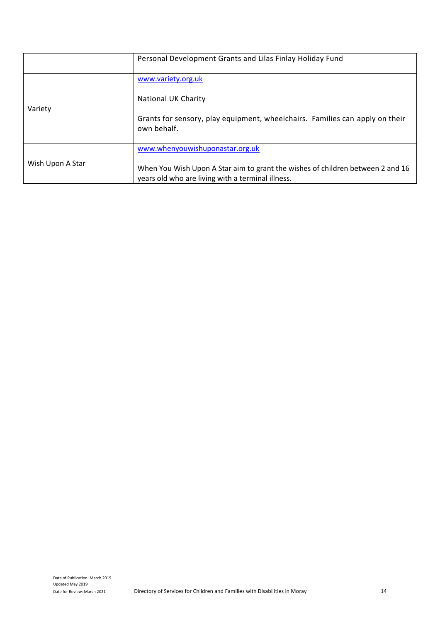|                  | Personal Development Grants and Lilas Finlay Holiday Fund                                                                           |
|------------------|-------------------------------------------------------------------------------------------------------------------------------------|
| Variety          | www.variety.org.uk                                                                                                                  |
|                  | National UK Charity                                                                                                                 |
|                  | Grants for sensory, play equipment, wheelchairs. Families can apply on their<br>own behalf.                                         |
| Wish Upon A Star | www.whenyouwishuponastar.org.uk                                                                                                     |
|                  | When You Wish Upon A Star aim to grant the wishes of children between 2 and 16<br>years old who are living with a terminal illness. |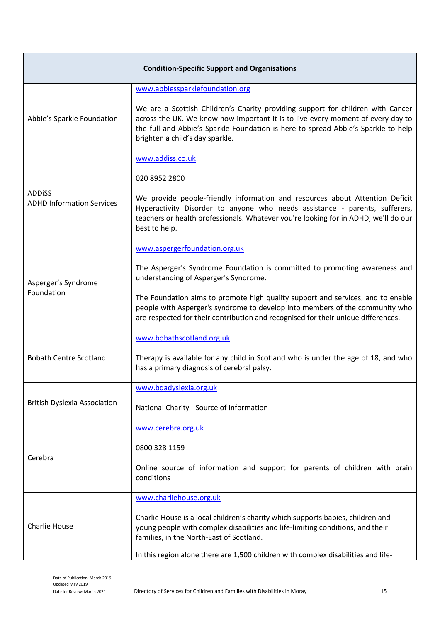| <b>Condition-Specific Support and Organisations</b> |                                                                                                                                                                                                                                                                                            |
|-----------------------------------------------------|--------------------------------------------------------------------------------------------------------------------------------------------------------------------------------------------------------------------------------------------------------------------------------------------|
|                                                     | www.abbiessparklefoundation.org                                                                                                                                                                                                                                                            |
| Abbie's Sparkle Foundation                          | We are a Scottish Children's Charity providing support for children with Cancer<br>across the UK. We know how important it is to live every moment of every day to<br>the full and Abbie's Sparkle Foundation is here to spread Abbie's Sparkle to help<br>brighten a child's day sparkle. |
|                                                     | www.addiss.co.uk                                                                                                                                                                                                                                                                           |
|                                                     | 020 8952 2800                                                                                                                                                                                                                                                                              |
| <b>ADDISS</b><br><b>ADHD Information Services</b>   | We provide people-friendly information and resources about Attention Deficit<br>Hyperactivity Disorder to anyone who needs assistance - parents, sufferers,<br>teachers or health professionals. Whatever you're looking for in ADHD, we'll do our<br>best to help.                        |
|                                                     | www.aspergerfoundation.org.uk                                                                                                                                                                                                                                                              |
| Asperger's Syndrome                                 | The Asperger's Syndrome Foundation is committed to promoting awareness and<br>understanding of Asperger's Syndrome.                                                                                                                                                                        |
| Foundation                                          | The Foundation aims to promote high quality support and services, and to enable<br>people with Asperger's syndrome to develop into members of the community who<br>are respected for their contribution and recognised for their unique differences.                                       |
|                                                     | www.bobathscotland.org.uk                                                                                                                                                                                                                                                                  |
| <b>Bobath Centre Scotland</b>                       | Therapy is available for any child in Scotland who is under the age of 18, and who<br>has a primary diagnosis of cerebral palsy.                                                                                                                                                           |
|                                                     | www.bdadyslexia.org.uk                                                                                                                                                                                                                                                                     |
| <b>British Dyslexia Association</b>                 | National Charity - Source of Information                                                                                                                                                                                                                                                   |
|                                                     | www.cerebra.org.uk                                                                                                                                                                                                                                                                         |
| Cerebra                                             | 0800 328 1159                                                                                                                                                                                                                                                                              |
|                                                     | Online source of information and support for parents of children with brain<br>conditions                                                                                                                                                                                                  |
| <b>Charlie House</b>                                | www.charliehouse.org.uk                                                                                                                                                                                                                                                                    |
|                                                     | Charlie House is a local children's charity which supports babies, children and<br>young people with complex disabilities and life-limiting conditions, and their<br>families, in the North-East of Scotland.                                                                              |
|                                                     | In this region alone there are 1,500 children with complex disabilities and life-                                                                                                                                                                                                          |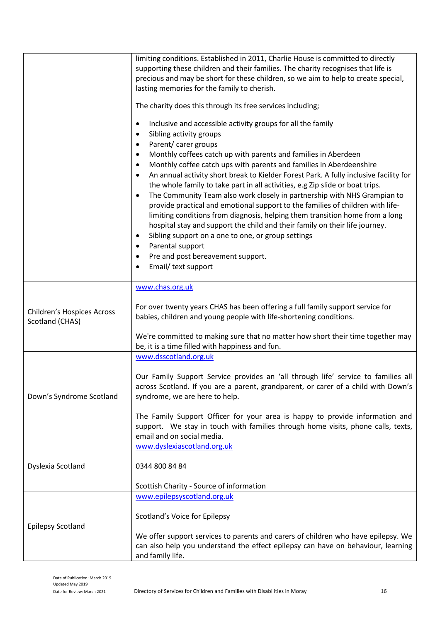|                                                      | limiting conditions. Established in 2011, Charlie House is committed to directly<br>supporting these children and their families. The charity recognises that life is<br>precious and may be short for these children, so we aim to help to create special,<br>lasting memories for the family to cherish.<br>The charity does this through its free services including;<br>Inclusive and accessible activity groups for all the family<br>٠<br>Sibling activity groups<br>$\bullet$<br>Parent/ carer groups<br>$\bullet$<br>Monthly coffees catch up with parents and families in Aberdeen<br>٠<br>Monthly coffee catch ups with parents and families in Aberdeenshire<br>$\bullet$<br>An annual activity short break to Kielder Forest Park. A fully inclusive facility for<br>$\bullet$<br>the whole family to take part in all activities, e.g Zip slide or boat trips.<br>The Community Team also work closely in partnership with NHS Grampian to<br>$\bullet$<br>provide practical and emotional support to the families of children with life-<br>limiting conditions from diagnosis, helping them transition home from a long<br>hospital stay and support the child and their family on their life journey.<br>Sibling support on a one to one, or group settings<br>$\bullet$<br>Parental support<br>$\bullet$<br>Pre and post bereavement support.<br>Email/ text support |
|------------------------------------------------------|---------------------------------------------------------------------------------------------------------------------------------------------------------------------------------------------------------------------------------------------------------------------------------------------------------------------------------------------------------------------------------------------------------------------------------------------------------------------------------------------------------------------------------------------------------------------------------------------------------------------------------------------------------------------------------------------------------------------------------------------------------------------------------------------------------------------------------------------------------------------------------------------------------------------------------------------------------------------------------------------------------------------------------------------------------------------------------------------------------------------------------------------------------------------------------------------------------------------------------------------------------------------------------------------------------------------------------------------------------------------------------------|
| <b>Children's Hospices Across</b><br>Scotland (CHAS) | www.chas.org.uk<br>For over twenty years CHAS has been offering a full family support service for<br>babies, children and young people with life-shortening conditions.<br>We're committed to making sure that no matter how short their time together may                                                                                                                                                                                                                                                                                                                                                                                                                                                                                                                                                                                                                                                                                                                                                                                                                                                                                                                                                                                                                                                                                                                            |
|                                                      | be, it is a time filled with happiness and fun.                                                                                                                                                                                                                                                                                                                                                                                                                                                                                                                                                                                                                                                                                                                                                                                                                                                                                                                                                                                                                                                                                                                                                                                                                                                                                                                                       |
| Down's Syndrome Scotland                             | www.dsscotland.org.uk<br>Our Family Support Service provides an 'all through life' service to families all<br>across Scotland. If you are a parent, grandparent, or carer of a child with Down's<br>syndrome, we are here to help.<br>The Family Support Officer for your area is happy to provide information and<br>support. We stay in touch with families through home visits, phone calls, texts,<br>email and on social media.                                                                                                                                                                                                                                                                                                                                                                                                                                                                                                                                                                                                                                                                                                                                                                                                                                                                                                                                                  |
| Dyslexia Scotland                                    | www.dyslexiascotland.org.uk<br>0344 800 84 84<br>Scottish Charity - Source of information                                                                                                                                                                                                                                                                                                                                                                                                                                                                                                                                                                                                                                                                                                                                                                                                                                                                                                                                                                                                                                                                                                                                                                                                                                                                                             |
| <b>Epilepsy Scotland</b>                             | www.epilepsyscotland.org.uk<br>Scotland's Voice for Epilepsy<br>We offer support services to parents and carers of children who have epilepsy. We<br>can also help you understand the effect epilepsy can have on behaviour, learning<br>and family life.                                                                                                                                                                                                                                                                                                                                                                                                                                                                                                                                                                                                                                                                                                                                                                                                                                                                                                                                                                                                                                                                                                                             |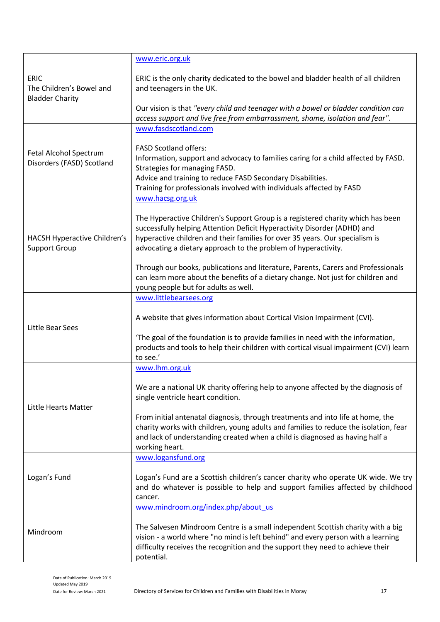|                                                                   | www.eric.org.uk                                                                                                                                                                                                                                                                                               |
|-------------------------------------------------------------------|---------------------------------------------------------------------------------------------------------------------------------------------------------------------------------------------------------------------------------------------------------------------------------------------------------------|
| <b>ERIC</b><br>The Children's Bowel and<br><b>Bladder Charity</b> | ERIC is the only charity dedicated to the bowel and bladder health of all children<br>and teenagers in the UK.                                                                                                                                                                                                |
|                                                                   | Our vision is that "every child and teenager with a bowel or bladder condition can<br>access support and live free from embarrassment, shame, isolation and fear".                                                                                                                                            |
|                                                                   | www.fasdscotland.com                                                                                                                                                                                                                                                                                          |
| Fetal Alcohol Spectrum<br>Disorders (FASD) Scotland               | <b>FASD Scotland offers:</b><br>Information, support and advocacy to families caring for a child affected by FASD.<br>Strategies for managing FASD.<br>Advice and training to reduce FASD Secondary Disabilities.                                                                                             |
|                                                                   | Training for professionals involved with individuals affected by FASD                                                                                                                                                                                                                                         |
|                                                                   | www.hacsg.org.uk                                                                                                                                                                                                                                                                                              |
| HACSH Hyperactive Children's<br><b>Support Group</b>              | The Hyperactive Children's Support Group is a registered charity which has been<br>successfully helping Attention Deficit Hyperactivity Disorder (ADHD) and<br>hyperactive children and their families for over 35 years. Our specialism is<br>advocating a dietary approach to the problem of hyperactivity. |
|                                                                   | Through our books, publications and literature, Parents, Carers and Professionals<br>can learn more about the benefits of a dietary change. Not just for children and<br>young people but for adults as well.                                                                                                 |
|                                                                   | www.littlebearsees.org                                                                                                                                                                                                                                                                                        |
| Little Bear Sees                                                  | A website that gives information about Cortical Vision Impairment (CVI).                                                                                                                                                                                                                                      |
|                                                                   | 'The goal of the foundation is to provide families in need with the information,<br>products and tools to help their children with cortical visual impairment (CVI) learn<br>to see.'                                                                                                                         |
| Little Hearts Matter                                              | www.lhm.org.uk                                                                                                                                                                                                                                                                                                |
|                                                                   | We are a national UK charity offering help to anyone affected by the diagnosis of<br>single ventricle heart condition.                                                                                                                                                                                        |
|                                                                   | From initial antenatal diagnosis, through treatments and into life at home, the<br>charity works with children, young adults and families to reduce the isolation, fear<br>and lack of understanding created when a child is diagnosed as having half a<br>working heart.                                     |
|                                                                   | www.logansfund.org                                                                                                                                                                                                                                                                                            |
| Logan's Fund                                                      | Logan's Fund are a Scottish children's cancer charity who operate UK wide. We try<br>and do whatever is possible to help and support families affected by childhood<br>cancer.                                                                                                                                |
|                                                                   | www.mindroom.org/index.php/about_us                                                                                                                                                                                                                                                                           |
| Mindroom                                                          | The Salvesen Mindroom Centre is a small independent Scottish charity with a big<br>vision - a world where "no mind is left behind" and every person with a learning<br>difficulty receives the recognition and the support they need to achieve their<br>potential.                                           |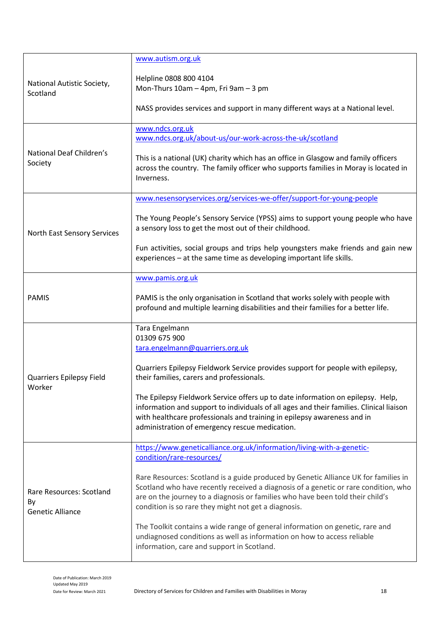|                                                           | www.autism.org.uk                                                                                                                                                                                                                                                                                                    |
|-----------------------------------------------------------|----------------------------------------------------------------------------------------------------------------------------------------------------------------------------------------------------------------------------------------------------------------------------------------------------------------------|
| National Autistic Society,<br>Scotland                    | Helpline 0808 800 4104<br>Mon-Thurs 10am - 4pm, Fri 9am - 3 pm                                                                                                                                                                                                                                                       |
|                                                           | NASS provides services and support in many different ways at a National level.                                                                                                                                                                                                                                       |
|                                                           | www.ndcs.org.uk<br>www.ndcs.org.uk/about-us/our-work-across-the-uk/scotland                                                                                                                                                                                                                                          |
| National Deaf Children's<br>Society                       | This is a national (UK) charity which has an office in Glasgow and family officers<br>across the country. The family officer who supports families in Moray is located in<br>Inverness.                                                                                                                              |
|                                                           | www.nesensoryservices.org/services-we-offer/support-for-young-people                                                                                                                                                                                                                                                 |
| North East Sensory Services                               | The Young People's Sensory Service (YPSS) aims to support young people who have<br>a sensory loss to get the most out of their childhood.                                                                                                                                                                            |
|                                                           | Fun activities, social groups and trips help youngsters make friends and gain new<br>experiences - at the same time as developing important life skills.                                                                                                                                                             |
|                                                           | www.pamis.org.uk                                                                                                                                                                                                                                                                                                     |
| <b>PAMIS</b>                                              | PAMIS is the only organisation in Scotland that works solely with people with<br>profound and multiple learning disabilities and their families for a better life.                                                                                                                                                   |
|                                                           | Tara Engelmann<br>01309 675 900                                                                                                                                                                                                                                                                                      |
|                                                           | tara.engelmann@quarriers.org.uk                                                                                                                                                                                                                                                                                      |
| Quarriers Epilepsy Field                                  | Quarriers Epilepsy Fieldwork Service provides support for people with epilepsy,<br>their families, carers and professionals.                                                                                                                                                                                         |
| Worker                                                    | The Epilepsy Fieldwork Service offers up to date information on epilepsy. Help,<br>information and support to individuals of all ages and their families. Clinical liaison<br>with healthcare professionals and training in epilepsy awareness and in<br>administration of emergency rescue medication.              |
|                                                           | https://www.geneticalliance.org.uk/information/living-with-a-genetic-<br>condition/rare-resources/                                                                                                                                                                                                                   |
| Rare Resources: Scotland<br>By<br><b>Genetic Alliance</b> | Rare Resources: Scotland is a guide produced by Genetic Alliance UK for families in<br>Scotland who have recently received a diagnosis of a genetic or rare condition, who<br>are on the journey to a diagnosis or families who have been told their child's<br>condition is so rare they might not get a diagnosis. |
|                                                           | The Toolkit contains a wide range of general information on genetic, rare and<br>undiagnosed conditions as well as information on how to access reliable<br>information, care and support in Scotland.                                                                                                               |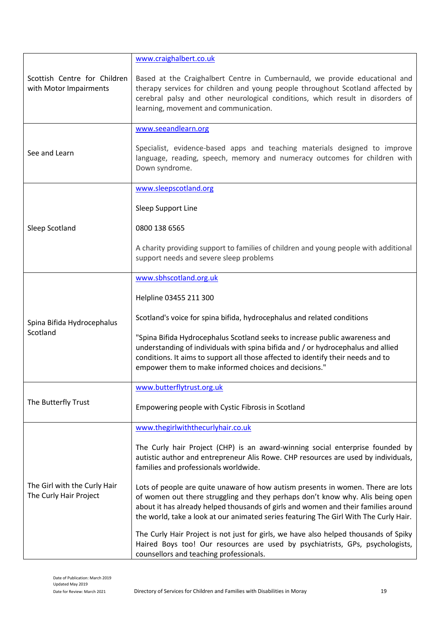|                                                        | www.craighalbert.co.uk                                                                                                                                                                                                                                                                                                                            |
|--------------------------------------------------------|---------------------------------------------------------------------------------------------------------------------------------------------------------------------------------------------------------------------------------------------------------------------------------------------------------------------------------------------------|
| Scottish Centre for Children<br>with Motor Impairments | Based at the Craighalbert Centre in Cumbernauld, we provide educational and<br>therapy services for children and young people throughout Scotland affected by<br>cerebral palsy and other neurological conditions, which result in disorders of<br>learning, movement and communication.                                                          |
|                                                        | www.seeandlearn.org                                                                                                                                                                                                                                                                                                                               |
| See and Learn                                          | Specialist, evidence-based apps and teaching materials designed to improve<br>language, reading, speech, memory and numeracy outcomes for children with<br>Down syndrome.                                                                                                                                                                         |
|                                                        | www.sleepscotland.org                                                                                                                                                                                                                                                                                                                             |
|                                                        | Sleep Support Line                                                                                                                                                                                                                                                                                                                                |
| Sleep Scotland                                         | 0800 138 6565                                                                                                                                                                                                                                                                                                                                     |
|                                                        | A charity providing support to families of children and young people with additional<br>support needs and severe sleep problems                                                                                                                                                                                                                   |
|                                                        | www.sbhscotland.org.uk                                                                                                                                                                                                                                                                                                                            |
|                                                        | Helpline 03455 211 300                                                                                                                                                                                                                                                                                                                            |
| Spina Bifida Hydrocephalus                             | Scotland's voice for spina bifida, hydrocephalus and related conditions                                                                                                                                                                                                                                                                           |
| Scotland                                               | "Spina Bifida Hydrocephalus Scotland seeks to increase public awareness and<br>understanding of individuals with spina bifida and / or hydrocephalus and allied<br>conditions. It aims to support all those affected to identify their needs and to<br>empower them to make informed choices and decisions."                                      |
|                                                        | www.butterflytrust.org.uk                                                                                                                                                                                                                                                                                                                         |
| The Butterfly Trust                                    | Empowering people with Cystic Fibrosis in Scotland                                                                                                                                                                                                                                                                                                |
|                                                        | www.thegirlwiththecurlyhair.co.uk                                                                                                                                                                                                                                                                                                                 |
| The Girl with the Curly Hair<br>The Curly Hair Project | The Curly hair Project (CHP) is an award-winning social enterprise founded by<br>autistic author and entrepreneur Alis Rowe. CHP resources are used by individuals,<br>families and professionals worldwide.                                                                                                                                      |
|                                                        | Lots of people are quite unaware of how autism presents in women. There are lots<br>of women out there struggling and they perhaps don't know why. Alis being open<br>about it has already helped thousands of girls and women and their families around<br>the world, take a look at our animated series featuring The Girl With The Curly Hair. |
|                                                        | The Curly Hair Project is not just for girls, we have also helped thousands of Spiky<br>Haired Boys too! Our resources are used by psychiatrists, GPs, psychologists,<br>counsellors and teaching professionals.                                                                                                                                  |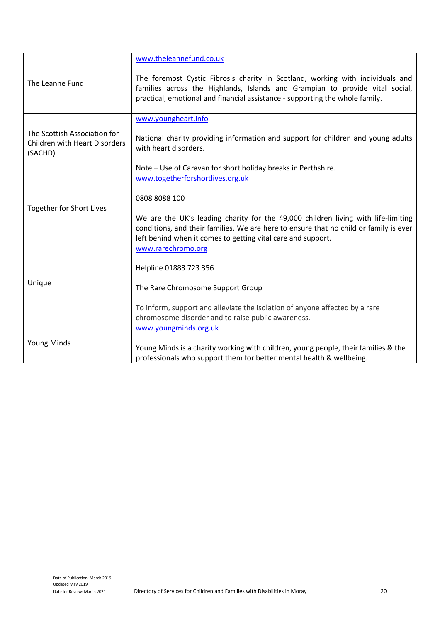|                                                                                 | www.theleannefund.co.uk                                                                                                                                                                                                                        |
|---------------------------------------------------------------------------------|------------------------------------------------------------------------------------------------------------------------------------------------------------------------------------------------------------------------------------------------|
| The Leanne Fund                                                                 | The foremost Cystic Fibrosis charity in Scotland, working with individuals and<br>families across the Highlands, Islands and Grampian to provide vital social,<br>practical, emotional and financial assistance - supporting the whole family. |
|                                                                                 | www.youngheart.info                                                                                                                                                                                                                            |
| The Scottish Association for<br><b>Children with Heart Disorders</b><br>(SACHD) | National charity providing information and support for children and young adults<br>with heart disorders.                                                                                                                                      |
|                                                                                 | Note - Use of Caravan for short holiday breaks in Perthshire.                                                                                                                                                                                  |
|                                                                                 | www.togetherforshortlives.org.uk                                                                                                                                                                                                               |
| <b>Together for Short Lives</b>                                                 | 0808 8088 100                                                                                                                                                                                                                                  |
|                                                                                 | We are the UK's leading charity for the 49,000 children living with life-limiting                                                                                                                                                              |
|                                                                                 | conditions, and their families. We are here to ensure that no child or family is ever<br>left behind when it comes to getting vital care and support.                                                                                          |
|                                                                                 | www.rarechromo.org                                                                                                                                                                                                                             |
| Unique                                                                          | Helpline 01883 723 356                                                                                                                                                                                                                         |
|                                                                                 | The Rare Chromosome Support Group                                                                                                                                                                                                              |
|                                                                                 | To inform, support and alleviate the isolation of anyone affected by a rare<br>chromosome disorder and to raise public awareness.                                                                                                              |
|                                                                                 | www.youngminds.org.uk                                                                                                                                                                                                                          |
| <b>Young Minds</b>                                                              | Young Minds is a charity working with children, young people, their families & the<br>professionals who support them for better mental health & wellbeing.                                                                                     |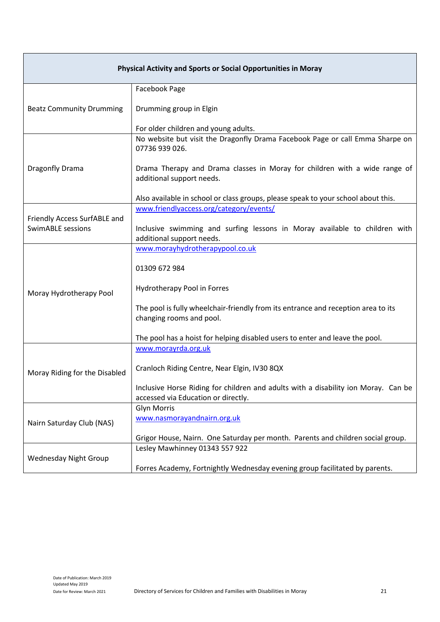| <b>Physical Activity and Sports or Social Opportunities in Moray</b> |                                                                                                                           |
|----------------------------------------------------------------------|---------------------------------------------------------------------------------------------------------------------------|
|                                                                      | Facebook Page                                                                                                             |
| <b>Beatz Community Drumming</b>                                      | Drumming group in Elgin                                                                                                   |
|                                                                      | For older children and young adults.                                                                                      |
|                                                                      | No website but visit the Dragonfly Drama Facebook Page or call Emma Sharpe on<br>07736 939 026.                           |
| Dragonfly Drama                                                      | Drama Therapy and Drama classes in Moray for children with a wide range of<br>additional support needs.                   |
|                                                                      | Also available in school or class groups, please speak to your school about this.                                         |
|                                                                      | www.friendlyaccess.org/category/events/                                                                                   |
| Friendly Access SurfABLE and<br><b>SwimABLE sessions</b>             | Inclusive swimming and surfing lessons in Moray available to children with<br>additional support needs.                   |
|                                                                      | www.morayhydrotherapypool.co.uk                                                                                           |
|                                                                      | 01309 672 984                                                                                                             |
| Moray Hydrotherapy Pool                                              | Hydrotherapy Pool in Forres                                                                                               |
|                                                                      | The pool is fully wheelchair-friendly from its entrance and reception area to its<br>changing rooms and pool.             |
|                                                                      | The pool has a hoist for helping disabled users to enter and leave the pool.                                              |
|                                                                      | www.morayrda.org.uk                                                                                                       |
| Moray Riding for the Disabled                                        | Cranloch Riding Centre, Near Elgin, IV30 8QX                                                                              |
|                                                                      | Inclusive Horse Riding for children and adults with a disability ion Moray. Can be<br>accessed via Education or directly. |
| Nairn Saturday Club (NAS)                                            | <b>Glyn Morris</b>                                                                                                        |
|                                                                      | www.nasmorayandnairn.org.uk                                                                                               |
|                                                                      | Grigor House, Nairn. One Saturday per month. Parents and children social group.                                           |
| <b>Wednesday Night Group</b>                                         | Lesley Mawhinney 01343 557 922                                                                                            |
|                                                                      | Forres Academy, Fortnightly Wednesday evening group facilitated by parents.                                               |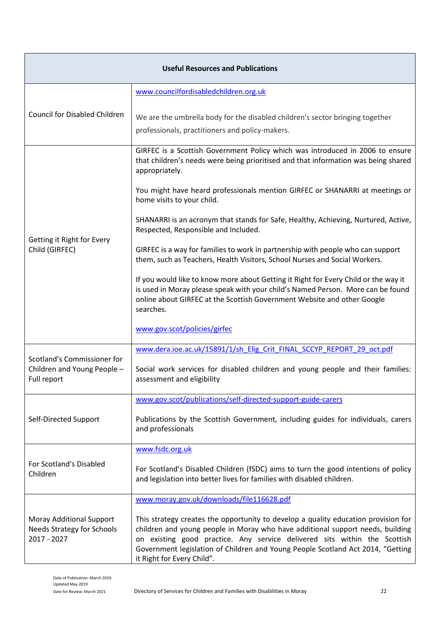| <b>Useful Resources and Publications</b>                                     |                                                                                                                                                                                                                                                                                                                                                                    |
|------------------------------------------------------------------------------|--------------------------------------------------------------------------------------------------------------------------------------------------------------------------------------------------------------------------------------------------------------------------------------------------------------------------------------------------------------------|
|                                                                              | www.councilfordisabledchildren.org.uk                                                                                                                                                                                                                                                                                                                              |
| <b>Council for Disabled Children</b>                                         | We are the umbrella body for the disabled children's sector bringing together<br>professionals, practitioners and policy-makers.                                                                                                                                                                                                                                   |
|                                                                              | GIRFEC is a Scottish Government Policy which was introduced in 2006 to ensure<br>that children's needs were being prioritised and that information was being shared<br>appropriately.                                                                                                                                                                              |
|                                                                              | You might have heard professionals mention GIRFEC or SHANARRI at meetings or<br>home visits to your child.                                                                                                                                                                                                                                                         |
| Getting it Right for Every                                                   | SHANARRI is an acronym that stands for Safe, Healthy, Achieving, Nurtured, Active,<br>Respected, Responsible and Included.                                                                                                                                                                                                                                         |
| Child (GIRFEC)                                                               | GIRFEC is a way for families to work in partnership with people who can support<br>them, such as Teachers, Health Visitors, School Nurses and Social Workers.                                                                                                                                                                                                      |
|                                                                              | If you would like to know more about Getting it Right for Every Child or the way it<br>is used in Moray please speak with your child's Named Person. More can be found<br>online about GIRFEC at the Scottish Government Website and other Google<br>searches.                                                                                                     |
|                                                                              | www.gov.scot/policies/girfec                                                                                                                                                                                                                                                                                                                                       |
| Scotland's Commissioner for                                                  | www.dera.ioe.ac.uk/15891/1/sh Elig Crit FINAL SCCYP REPORT 29 oct.pdf                                                                                                                                                                                                                                                                                              |
| Children and Young People -<br>Full report                                   | Social work services for disabled children and young people and their families:<br>assessment and eligibility                                                                                                                                                                                                                                                      |
|                                                                              | www.gov.scot/publications/self-directed-support-guide-carers                                                                                                                                                                                                                                                                                                       |
| Self-Directed Support                                                        | Publications by the Scottish Government, including guides for individuals, carers<br>and professionals                                                                                                                                                                                                                                                             |
|                                                                              | www.fsdc.org.uk                                                                                                                                                                                                                                                                                                                                                    |
| For Scotland's Disabled<br>Children                                          | For Scotland's Disabled Children (fSDC) aims to turn the good intentions of policy<br>and legislation into better lives for families with disabled children.                                                                                                                                                                                                       |
| Moray Additional Support<br><b>Needs Strategy for Schools</b><br>2017 - 2027 | www.moray.gov.uk/downloads/file116628.pdf                                                                                                                                                                                                                                                                                                                          |
|                                                                              | This strategy creates the opportunity to develop a quality education provision for<br>children and young people in Moray who have additional support needs, building<br>on existing good practice. Any service delivered sits within the Scottish<br>Government legislation of Children and Young People Scotland Act 2014, "Getting<br>it Right for Every Child". |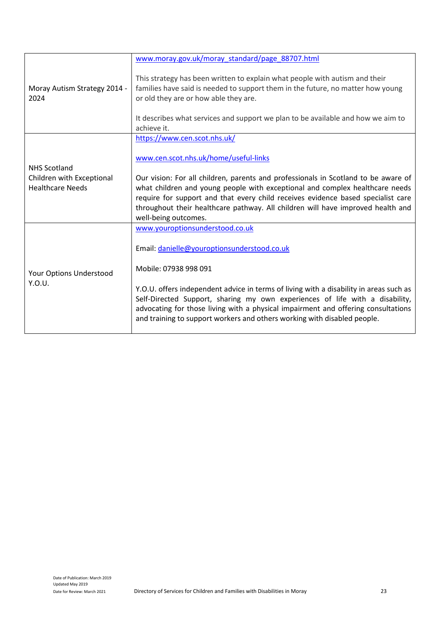|                                                                             | www.moray.gov.uk/moray_standard/page_88707.html                                                                                                                                                                                                                                                                                         |
|-----------------------------------------------------------------------------|-----------------------------------------------------------------------------------------------------------------------------------------------------------------------------------------------------------------------------------------------------------------------------------------------------------------------------------------|
| Moray Autism Strategy 2014 -<br>2024                                        | This strategy has been written to explain what people with autism and their<br>families have said is needed to support them in the future, no matter how young<br>or old they are or how able they are.<br>It describes what services and support we plan to be available and how we aim to<br>achieve it.                              |
|                                                                             | https://www.cen.scot.nhs.uk/                                                                                                                                                                                                                                                                                                            |
| <b>NHS Scotland</b><br>Children with Exceptional<br><b>Healthcare Needs</b> | www.cen.scot.nhs.uk/home/useful-links                                                                                                                                                                                                                                                                                                   |
|                                                                             | Our vision: For all children, parents and professionals in Scotland to be aware of                                                                                                                                                                                                                                                      |
|                                                                             | what children and young people with exceptional and complex healthcare needs                                                                                                                                                                                                                                                            |
|                                                                             | require for support and that every child receives evidence based specialist care<br>throughout their healthcare pathway. All children will have improved health and<br>well-being outcomes.                                                                                                                                             |
|                                                                             | www.youroptionsunderstood.co.uk                                                                                                                                                                                                                                                                                                         |
| Your Options Understood<br>Y.O.U.                                           | Email: danielle@youroptionsunderstood.co.uk                                                                                                                                                                                                                                                                                             |
|                                                                             | Mobile: 07938 998 091                                                                                                                                                                                                                                                                                                                   |
|                                                                             | Y.O.U. offers independent advice in terms of living with a disability in areas such as<br>Self-Directed Support, sharing my own experiences of life with a disability,<br>advocating for those living with a physical impairment and offering consultations<br>and training to support workers and others working with disabled people. |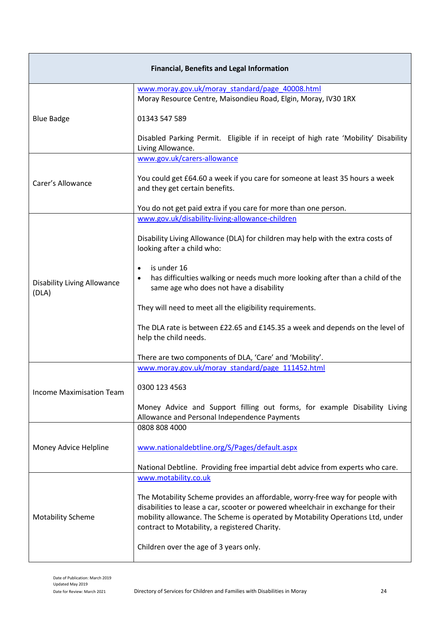| <b>Financial, Benefits and Legal Information</b> |                                                                                                                                                                                                                                                                                                     |
|--------------------------------------------------|-----------------------------------------------------------------------------------------------------------------------------------------------------------------------------------------------------------------------------------------------------------------------------------------------------|
|                                                  | www.moray.gov.uk/moray_standard/page_40008.html<br>Moray Resource Centre, Maisondieu Road, Elgin, Moray, IV30 1RX                                                                                                                                                                                   |
| <b>Blue Badge</b>                                | 01343 547 589                                                                                                                                                                                                                                                                                       |
|                                                  | Disabled Parking Permit. Eligible if in receipt of high rate 'Mobility' Disability<br>Living Allowance.                                                                                                                                                                                             |
|                                                  | www.gov.uk/carers-allowance                                                                                                                                                                                                                                                                         |
| Carer's Allowance                                | You could get £64.60 a week if you care for someone at least 35 hours a week<br>and they get certain benefits.                                                                                                                                                                                      |
|                                                  | You do not get paid extra if you care for more than one person.                                                                                                                                                                                                                                     |
|                                                  | www.gov.uk/disability-living-allowance-children                                                                                                                                                                                                                                                     |
|                                                  | Disability Living Allowance (DLA) for children may help with the extra costs of<br>looking after a child who:                                                                                                                                                                                       |
|                                                  | is under 16<br>$\bullet$                                                                                                                                                                                                                                                                            |
| <b>Disability Living Allowance</b><br>(DLA)      | has difficulties walking or needs much more looking after than a child of the<br>$\bullet$<br>same age who does not have a disability                                                                                                                                                               |
|                                                  | They will need to meet all the eligibility requirements.                                                                                                                                                                                                                                            |
|                                                  | The DLA rate is between £22.65 and £145.35 a week and depends on the level of<br>help the child needs.                                                                                                                                                                                              |
|                                                  | There are two components of DLA, 'Care' and 'Mobility'.                                                                                                                                                                                                                                             |
|                                                  | www.moray.gov.uk/moray_standard/page_111452.html                                                                                                                                                                                                                                                    |
| <b>Income Maximisation Team</b>                  | 0300 123 4563                                                                                                                                                                                                                                                                                       |
|                                                  | Money Advice and Support filling out forms, for example Disability Living                                                                                                                                                                                                                           |
|                                                  | Allowance and Personal Independence Payments<br>0808 808 4000                                                                                                                                                                                                                                       |
| Money Advice Helpline                            | www.nationaldebtline.org/S/Pages/default.aspx                                                                                                                                                                                                                                                       |
|                                                  | National Debtline. Providing free impartial debt advice from experts who care.                                                                                                                                                                                                                      |
|                                                  | www.motability.co.uk                                                                                                                                                                                                                                                                                |
| <b>Motability Scheme</b>                         | The Motability Scheme provides an affordable, worry-free way for people with<br>disabilities to lease a car, scooter or powered wheelchair in exchange for their<br>mobility allowance. The Scheme is operated by Motability Operations Ltd, under<br>contract to Motability, a registered Charity. |
|                                                  | Children over the age of 3 years only.                                                                                                                                                                                                                                                              |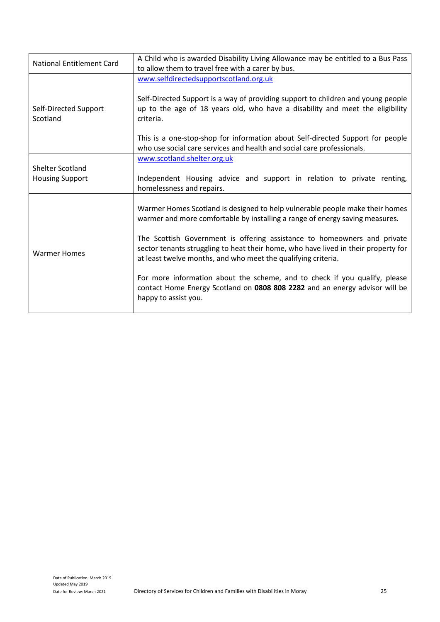| <b>National Entitlement Card</b>                  | A Child who is awarded Disability Living Allowance may be entitled to a Bus Pass<br>to allow them to travel free with a carer by bus.                                                                                                                                                                                                                                                                                                                                                                                                                                                |
|---------------------------------------------------|--------------------------------------------------------------------------------------------------------------------------------------------------------------------------------------------------------------------------------------------------------------------------------------------------------------------------------------------------------------------------------------------------------------------------------------------------------------------------------------------------------------------------------------------------------------------------------------|
| Self-Directed Support<br>Scotland                 | www.selfdirectedsupportscotland.org.uk<br>Self-Directed Support is a way of providing support to children and young people<br>up to the age of 18 years old, who have a disability and meet the eligibility<br>criteria.<br>This is a one-stop-shop for information about Self-directed Support for people                                                                                                                                                                                                                                                                           |
| <b>Shelter Scotland</b><br><b>Housing Support</b> | who use social care services and health and social care professionals.<br>www.scotland.shelter.org.uk<br>Independent Housing advice and support in relation to private renting,<br>homelessness and repairs.                                                                                                                                                                                                                                                                                                                                                                         |
| <b>Warmer Homes</b>                               | Warmer Homes Scotland is designed to help vulnerable people make their homes<br>warmer and more comfortable by installing a range of energy saving measures.<br>The Scottish Government is offering assistance to homeowners and private<br>sector tenants struggling to heat their home, who have lived in their property for<br>at least twelve months, and who meet the qualifying criteria.<br>For more information about the scheme, and to check if you qualify, please<br>contact Home Energy Scotland on 0808 808 2282 and an energy advisor will be<br>happy to assist you. |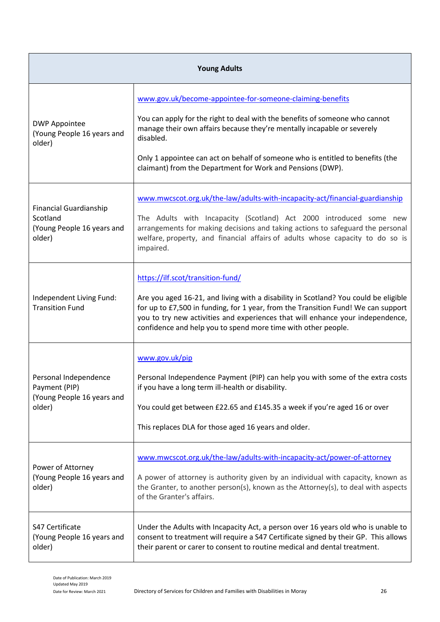| <b>Young Adults</b>                                                               |                                                                                                                                                                                                                                                                                                                                                                                  |
|-----------------------------------------------------------------------------------|----------------------------------------------------------------------------------------------------------------------------------------------------------------------------------------------------------------------------------------------------------------------------------------------------------------------------------------------------------------------------------|
| <b>DWP Appointee</b><br>(Young People 16 years and<br>older)                      | www.gov.uk/become-appointee-for-someone-claiming-benefits<br>You can apply for the right to deal with the benefits of someone who cannot<br>manage their own affairs because they're mentally incapable or severely<br>disabled.<br>Only 1 appointee can act on behalf of someone who is entitled to benefits (the<br>claimant) from the Department for Work and Pensions (DWP). |
| <b>Financial Guardianship</b><br>Scotland<br>(Young People 16 years and<br>older) | www.mwcscot.org.uk/the-law/adults-with-incapacity-act/financial-guardianship<br>The Adults with Incapacity (Scotland) Act 2000 introduced some new<br>arrangements for making decisions and taking actions to safeguard the personal<br>welfare, property, and financial affairs of adults whose capacity to do so is<br>impaired.                                               |
| Independent Living Fund:<br><b>Transition Fund</b>                                | https://ilf.scot/transition-fund/<br>Are you aged 16-21, and living with a disability in Scotland? You could be eligible<br>for up to £7,500 in funding, for 1 year, from the Transition Fund! We can support<br>you to try new activities and experiences that will enhance your independence,<br>confidence and help you to spend more time with other people.                 |
| Personal Independence<br>Payment (PIP)<br>(Young People 16 years and<br>older)    | www.gov.uk/pip<br>Personal Independence Payment (PIP) can help you with some of the extra costs<br>if you have a long term ill-health or disability.<br>You could get between £22.65 and £145.35 a week if you're aged 16 or over<br>This replaces DLA for those aged 16 years and older.                                                                                        |
| Power of Attorney<br>(Young People 16 years and<br>older)                         | www.mwcscot.org.uk/the-law/adults-with-incapacity-act/power-of-attorney<br>A power of attorney is authority given by an individual with capacity, known as<br>the Granter, to another person(s), known as the Attorney(s), to deal with aspects<br>of the Granter's affairs.                                                                                                     |
| S47 Certificate<br>(Young People 16 years and<br>older)                           | Under the Adults with Incapacity Act, a person over 16 years old who is unable to<br>consent to treatment will require a S47 Certificate signed by their GP. This allows<br>their parent or carer to consent to routine medical and dental treatment.                                                                                                                            |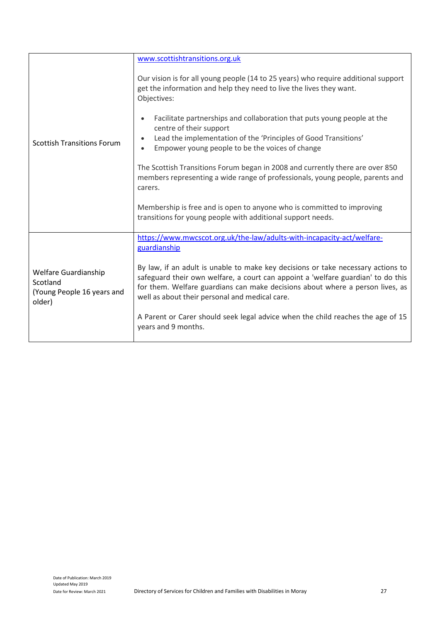|                                                                          | www.scottishtransitions.org.uk                                                                                                                                                                                                                                                                          |
|--------------------------------------------------------------------------|---------------------------------------------------------------------------------------------------------------------------------------------------------------------------------------------------------------------------------------------------------------------------------------------------------|
| <b>Scottish Transitions Forum</b>                                        | Our vision is for all young people (14 to 25 years) who require additional support<br>get the information and help they need to live the lives they want.<br>Objectives:                                                                                                                                |
|                                                                          | Facilitate partnerships and collaboration that puts young people at the<br>centre of their support<br>Lead the implementation of the 'Principles of Good Transitions'                                                                                                                                   |
|                                                                          | Empower young people to be the voices of change<br>$\bullet$                                                                                                                                                                                                                                            |
|                                                                          | The Scottish Transitions Forum began in 2008 and currently there are over 850<br>members representing a wide range of professionals, young people, parents and<br>carers.                                                                                                                               |
|                                                                          | Membership is free and is open to anyone who is committed to improving<br>transitions for young people with additional support needs.                                                                                                                                                                   |
| Welfare Guardianship<br>Scotland<br>(Young People 16 years and<br>older) | https://www.mwcscot.org.uk/the-law/adults-with-incapacity-act/welfare-<br>guardianship                                                                                                                                                                                                                  |
|                                                                          | By law, if an adult is unable to make key decisions or take necessary actions to<br>safeguard their own welfare, a court can appoint a 'welfare guardian' to do this<br>for them. Welfare guardians can make decisions about where a person lives, as<br>well as about their personal and medical care. |
|                                                                          | A Parent or Carer should seek legal advice when the child reaches the age of 15<br>years and 9 months.                                                                                                                                                                                                  |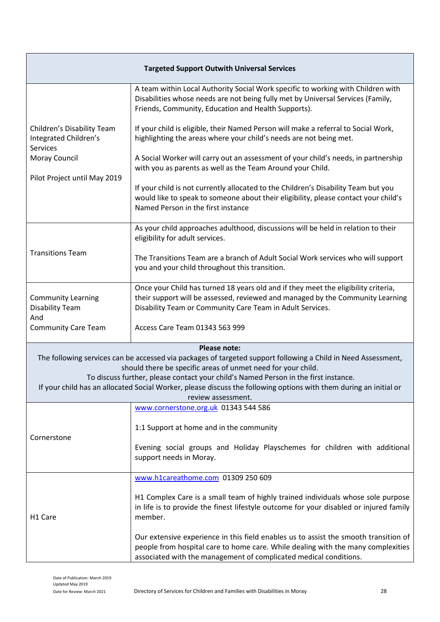| <b>Targeted Support Outwith Universal Services</b>                                                                                                                                                                             |                                                                                                                                                                                                                                               |
|--------------------------------------------------------------------------------------------------------------------------------------------------------------------------------------------------------------------------------|-----------------------------------------------------------------------------------------------------------------------------------------------------------------------------------------------------------------------------------------------|
| Children's Disability Team<br>Integrated Children's<br><b>Services</b><br>Moray Council<br>Pilot Project until May 2019                                                                                                        | A team within Local Authority Social Work specific to working with Children with<br>Disabilities whose needs are not being fully met by Universal Services (Family,<br>Friends, Community, Education and Health Supports).                    |
|                                                                                                                                                                                                                                | If your child is eligible, their Named Person will make a referral to Social Work,<br>highlighting the areas where your child's needs are not being met.                                                                                      |
|                                                                                                                                                                                                                                | A Social Worker will carry out an assessment of your child's needs, in partnership<br>with you as parents as well as the Team Around your Child.                                                                                              |
|                                                                                                                                                                                                                                | If your child is not currently allocated to the Children's Disability Team but you<br>would like to speak to someone about their eligibility, please contact your child's<br>Named Person in the first instance                               |
| <b>Transitions Team</b>                                                                                                                                                                                                        | As your child approaches adulthood, discussions will be held in relation to their<br>eligibility for adult services.                                                                                                                          |
|                                                                                                                                                                                                                                | The Transitions Team are a branch of Adult Social Work services who will support<br>you and your child throughout this transition.                                                                                                            |
| <b>Community Learning</b><br><b>Disability Team</b>                                                                                                                                                                            | Once your Child has turned 18 years old and if they meet the eligibility criteria,<br>their support will be assessed, reviewed and managed by the Community Learning<br>Disability Team or Community Care Team in Adult Services.             |
| And<br><b>Community Care Team</b>                                                                                                                                                                                              | Access Care Team 01343 563 999                                                                                                                                                                                                                |
|                                                                                                                                                                                                                                | Please note:                                                                                                                                                                                                                                  |
| The following services can be accessed via packages of targeted support following a Child in Need Assessment,<br>should there be specific areas of unmet need for your child.                                                  |                                                                                                                                                                                                                                               |
| To discuss further, please contact your child's Named Person in the first instance.<br>If your child has an allocated Social Worker, please discuss the following options with them during an initial or<br>review assessment. |                                                                                                                                                                                                                                               |
|                                                                                                                                                                                                                                | www.cornerstone.org.uk 01343 544 586                                                                                                                                                                                                          |
| Cornerstone                                                                                                                                                                                                                    | 1:1 Support at home and in the community                                                                                                                                                                                                      |
|                                                                                                                                                                                                                                | Evening social groups and Holiday Playschemes for children with additional<br>support needs in Moray.                                                                                                                                         |
| H <sub>1</sub> Care                                                                                                                                                                                                            | www.h1careathome.com 01309 250 609                                                                                                                                                                                                            |
|                                                                                                                                                                                                                                | H1 Complex Care is a small team of highly trained individuals whose sole purpose<br>in life is to provide the finest lifestyle outcome for your disabled or injured family<br>member.                                                         |
|                                                                                                                                                                                                                                | Our extensive experience in this field enables us to assist the smooth transition of<br>people from hospital care to home care. While dealing with the many complexities<br>associated with the management of complicated medical conditions. |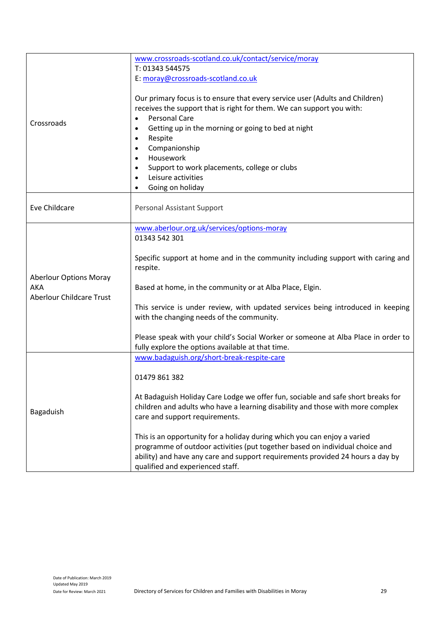| Crossroads                                                                     | www.crossroads-scotland.co.uk/contact/service/moray<br>T: 01343 544575<br>E: moray@crossroads-scotland.co.uk<br>Our primary focus is to ensure that every service user (Adults and Children)<br>receives the support that is right for them. We can support you with:<br><b>Personal Care</b><br>Getting up in the morning or going to bed at night<br>$\bullet$<br>Respite<br>$\bullet$<br>Companionship<br>$\bullet$<br>Housework<br>$\bullet$<br>Support to work placements, college or clubs<br>$\bullet$<br>Leisure activities<br>$\bullet$<br>Going on holiday<br>$\bullet$ |
|--------------------------------------------------------------------------------|-----------------------------------------------------------------------------------------------------------------------------------------------------------------------------------------------------------------------------------------------------------------------------------------------------------------------------------------------------------------------------------------------------------------------------------------------------------------------------------------------------------------------------------------------------------------------------------|
| Eve Childcare                                                                  | Personal Assistant Support                                                                                                                                                                                                                                                                                                                                                                                                                                                                                                                                                        |
| <b>Aberlour Options Moray</b><br><b>AKA</b><br><b>Aberlour Childcare Trust</b> | www.aberlour.org.uk/services/options-moray<br>01343 542 301<br>Specific support at home and in the community including support with caring and<br>respite.<br>Based at home, in the community or at Alba Place, Elgin.<br>This service is under review, with updated services being introduced in keeping<br>with the changing needs of the community.<br>Please speak with your child's Social Worker or someone at Alba Place in order to<br>fully explore the options available at that time.                                                                                  |
| Bagaduish                                                                      | www.badaguish.org/short-break-respite-care<br>01479 861 382<br>At Badaguish Holiday Care Lodge we offer fun, sociable and safe short breaks for<br>children and adults who have a learning disability and those with more complex<br>care and support requirements.<br>This is an opportunity for a holiday during which you can enjoy a varied<br>programme of outdoor activities (put together based on individual choice and<br>ability) and have any care and support requirements provided 24 hours a day by<br>qualified and experienced staff.                             |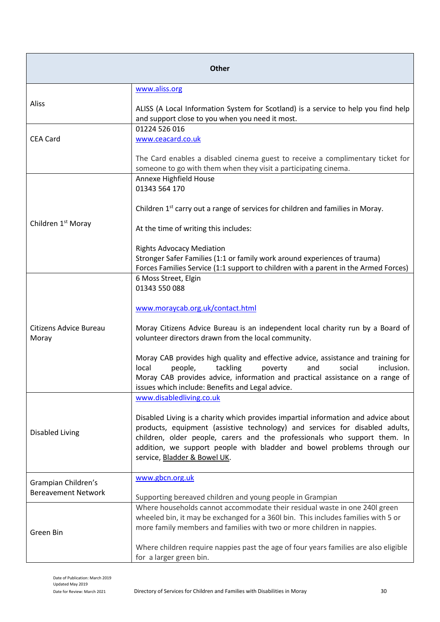| <b>Other</b>                                      |                                                                                                                                                                                                                                                                                                                                                            |
|---------------------------------------------------|------------------------------------------------------------------------------------------------------------------------------------------------------------------------------------------------------------------------------------------------------------------------------------------------------------------------------------------------------------|
|                                                   | www.aliss.org                                                                                                                                                                                                                                                                                                                                              |
| Aliss                                             | ALISS (A Local Information System for Scotland) is a service to help you find help<br>and support close to you when you need it most.                                                                                                                                                                                                                      |
| <b>CEA Card</b>                                   | 01224 526 016<br>www.ceacard.co.uk                                                                                                                                                                                                                                                                                                                         |
|                                                   | The Card enables a disabled cinema guest to receive a complimentary ticket for<br>someone to go with them when they visit a participating cinema.                                                                                                                                                                                                          |
|                                                   | Annexe Highfield House<br>01343 564 170                                                                                                                                                                                                                                                                                                                    |
| Children 1 <sup>st</sup> Moray                    | Children 1 <sup>st</sup> carry out a range of services for children and families in Moray.                                                                                                                                                                                                                                                                 |
|                                                   | At the time of writing this includes:                                                                                                                                                                                                                                                                                                                      |
|                                                   | <b>Rights Advocacy Mediation</b><br>Stronger Safer Families (1:1 or family work around experiences of trauma)<br>Forces Families Service (1:1 support to children with a parent in the Armed Forces)                                                                                                                                                       |
|                                                   | 6 Moss Street, Elgin<br>01343 550 088                                                                                                                                                                                                                                                                                                                      |
| Citizens Advice Bureau<br>Moray                   | www.moraycab.org.uk/contact.html                                                                                                                                                                                                                                                                                                                           |
|                                                   | Moray Citizens Advice Bureau is an independent local charity run by a Board of<br>volunteer directors drawn from the local community.                                                                                                                                                                                                                      |
|                                                   | Moray CAB provides high quality and effective advice, assistance and training for<br>tackling<br>local<br>people,<br>social<br>inclusion.<br>poverty<br>and<br>Moray CAB provides advice, information and practical assistance on a range of<br>issues which include: Benefits and Legal advice.                                                           |
|                                                   | www.disabledliving.co.uk                                                                                                                                                                                                                                                                                                                                   |
| <b>Disabled Living</b>                            | Disabled Living is a charity which provides impartial information and advice about<br>products, equipment (assistive technology) and services for disabled adults,<br>children, older people, carers and the professionals who support them. In<br>addition, we support people with bladder and bowel problems through our<br>service, Bladder & Bowel UK. |
| Grampian Children's<br><b>Bereavement Network</b> | www.gbcn.org.uk                                                                                                                                                                                                                                                                                                                                            |
|                                                   | Supporting bereaved children and young people in Grampian                                                                                                                                                                                                                                                                                                  |
| Green Bin                                         | Where households cannot accommodate their residual waste in one 240l green<br>wheeled bin, it may be exchanged for a 360l bin. This includes families with 5 or<br>more family members and families with two or more children in nappies.                                                                                                                  |
|                                                   | Where children require nappies past the age of four years families are also eligible<br>for a larger green bin.                                                                                                                                                                                                                                            |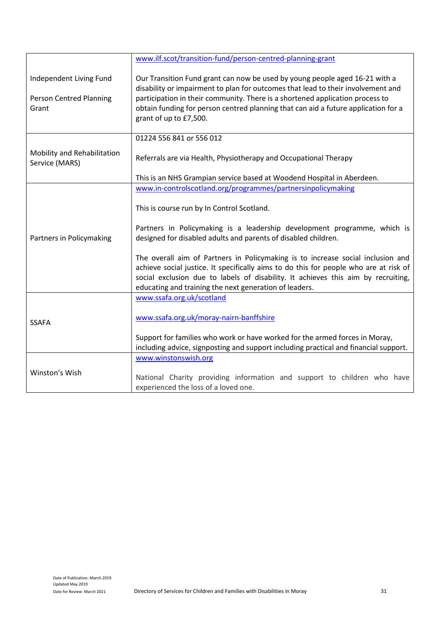|                                                                    | www.ilf.scot/transition-fund/person-centred-planning-grant                                                                                                                                                                                                                                                                                                                                                                                                                                                                                                                          |
|--------------------------------------------------------------------|-------------------------------------------------------------------------------------------------------------------------------------------------------------------------------------------------------------------------------------------------------------------------------------------------------------------------------------------------------------------------------------------------------------------------------------------------------------------------------------------------------------------------------------------------------------------------------------|
| Independent Living Fund<br><b>Person Centred Planning</b><br>Grant | Our Transition Fund grant can now be used by young people aged 16-21 with a<br>disability or impairment to plan for outcomes that lead to their involvement and<br>participation in their community. There is a shortened application process to<br>obtain funding for person centred planning that can aid a future application for a<br>grant of up to £7,500.                                                                                                                                                                                                                    |
|                                                                    | 01224 556 841 or 556 012                                                                                                                                                                                                                                                                                                                                                                                                                                                                                                                                                            |
| Mobility and Rehabilitation<br>Service (MARS)                      | Referrals are via Health, Physiotherapy and Occupational Therapy                                                                                                                                                                                                                                                                                                                                                                                                                                                                                                                    |
|                                                                    | This is an NHS Grampian service based at Woodend Hospital in Aberdeen.                                                                                                                                                                                                                                                                                                                                                                                                                                                                                                              |
| Partners in Policymaking                                           | www.in-controlscotland.org/programmes/partnersinpolicymaking<br>This is course run by In Control Scotland.<br>Partners in Policymaking is a leadership development programme, which is<br>designed for disabled adults and parents of disabled children.<br>The overall aim of Partners in Policymaking is to increase social inclusion and<br>achieve social justice. It specifically aims to do this for people who are at risk of<br>social exclusion due to labels of disability. It achieves this aim by recruiting,<br>educating and training the next generation of leaders. |
| <b>SSAFA</b>                                                       | www.ssafa.org.uk/scotland<br>www.ssafa.org.uk/moray-nairn-banffshire<br>Support for families who work or have worked for the armed forces in Moray,<br>including advice, signposting and support including practical and financial support.                                                                                                                                                                                                                                                                                                                                         |
| Winston's Wish                                                     | www.winstonswish.org<br>National Charity providing information and support to children who have<br>experienced the loss of a loved one.                                                                                                                                                                                                                                                                                                                                                                                                                                             |